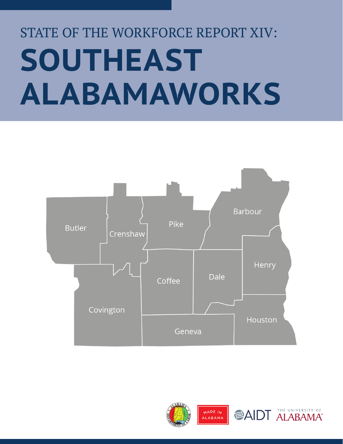# STATE OF THE WORKFORCE REPORT XIV: **SOUTHEAST ALABAMAWORKS**



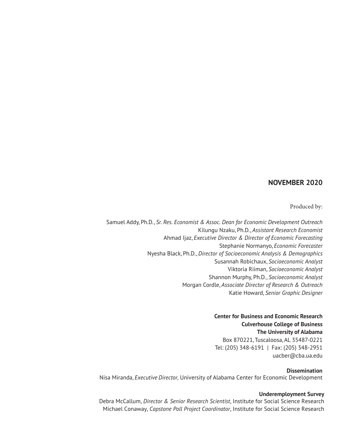### **NOVEMBER 2020**

### Produced by:

Samuel Addy, Ph.D., *Sr. Res. Economist & Assoc. Dean for Economic Development Outreach* Kilungu Nzaku, Ph.D., *Assistant Research Economist* Ahmad Ijaz, *Executive Director & Director of Economic Forecasting* Stephanie Normanyo, *Economic Forecaster* Nyesha Black, Ph.D., *Director of Socioeconomic Analysis & Demographics* Susannah Robichaux, *Socioeconomic Analyst* Viktoria Riiman, *Socioeconomic Analyst* Shannon Murphy, Ph.D., *Socioeconomic Analyst* Morgan Cordle, *Associate Director of Research & Outreach* Katie Howard, *Senior Graphic Designer*

> **Center for Business and Economic Research Culverhouse College of Business The University of Alabama** Box 870221, Tuscaloosa, AL 35487-0221 Tel: (205) 348-6191 | Fax: (205) 348-2951 uacber@cba.ua.edu

### **Dissemination**

Nisa Miranda, *Executive Director*, University of Alabama Center for Economic Development

#### **Underemployment Survey**

Debra McCallum, *Director & Senior Research Scientist*, Institute for Social Science Research Michael Conaway, Capstone Poll Project Coordinator, Institute for Social Science Research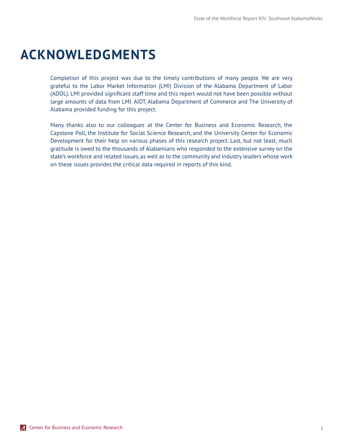# **ACKNOWLEDGMENTS**

Completion of this project was due to the timely contributions of many people. We are very grateful to the Labor Market Information (LMI) Division of the Alabama Department of Labor (ADOL). LMI provided significant staff time and this report would not have been possible without large amounts of data from LMI. AIDT, Alabama Department of Commerce and The University of Alabama provided funding for this project.

Many thanks also to our colleagues at the Center for Business and Economic Research, the Capstone Poll, the Institute for Social Science Research, and the University Center for Economic Development for their help on various phases of this research project. Last, but not least, much gratitude is owed to the thousands of Alabamians who responded to the extensive survey on the state's workforce and related issues, as well as to the community and industry leaders whose work on these issues provides the critical data required in reports of this kind.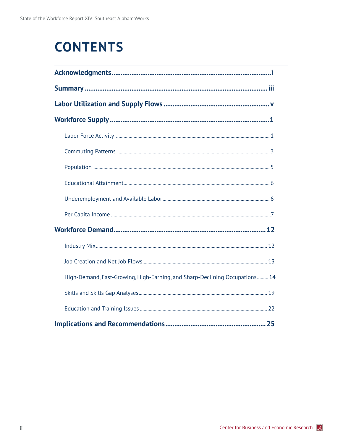# **CONTENTS**

| High-Demand, Fast-Growing, High-Earning, and Sharp-Declining Occupations 14 |
|-----------------------------------------------------------------------------|
|                                                                             |
|                                                                             |
|                                                                             |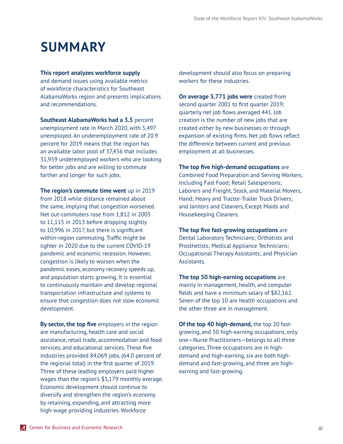# **SUMMARY**

### **This report analyzes workforce supply**

and demand issues using available metrics of workforce characteristics for Southeast AlabamaWorks region and presents implications and recommendations.

**Southeast AlabamaWorks had a 3.5** percent unemployment rate in March 2020, with 5,497 unemployed. An underemployment rate of 20.9 percent for 2019 means that the region has an available labor pool of 37,456 that includes 31,959 underemployed workers who are looking for better jobs and are willing to commute farther and longer for such jobs.

**The region's commute time went** up in 2019 from 2018 while distance remained about the same, implying that congestion worsened. Net out-commuters rose from 1,812 in 2005 to 11,115 in 2013 before dropping slightly to 10,996 in 2017, but there is significant within-region commuting. Traffic might be lighter in 2020 due to the current COVID-19 pandemic and economic recession. However, congestion is likely to worsen when the pandemic eases, economy recovery speeds up, and population starts growing. It is essential to continuously maintain and develop regional transportation infrastructure and systems to ensure that congestion does not slow economic development.

By sector, the top five employers in the region are manufacturing, health care and social assistance, retail trade, accommodation and food services, and educational services. These five industries provided 84,069 jobs, (64.0 percent of the regional total) in the first quarter of 2019. Three of these leading employers paid higher wages than the region's \$3,179 monthly average. Economic development should continue to diversify and strengthen the region's economy by retaining, expanding, and attracting more high-wage providing industries. Workforce

development should also focus on preparing workers for these industries.

**On average 5,771 jobs were** created from second quarter 2001 to first quarter 2019; quarterly net job flows averaged 441. Job creation is the number of new jobs that are created either by new businesses or through expansion of existing firms. Net job flows reflect the difference between current and previous employment at all businesses.

**The top five high-demand occupations** are Combined Food Preparation and Serving Workers, Including Fast Food; Retail Salespersons; Laborers and Freight, Stock, and Material Movers, Hand; Heavy and Tractor-Trailer Truck Drivers; and Janitors and Cleaners, Except Maids and Housekeeping Cleaners.

**The top five fast-growing occupations** are Dental Laboratory Technicians; Orthotists and Prosthetists; Medical Appliance Technicians; Occupational Therapy Assistants; and Physician Assistants.

**The top 50 high-earning occupations** are mainly in management, health, and computer fields and have a minimum salary of  $$82,162$ . Seven of the top 10 are health occupations and the other three are in management.

**Of the top 40 high-demand, the top 20 fast**growing, and 50 high-earning occupations, only one—Nurse Practitioners—belongs to all three categories. Three occupations are in highdemand and high-earning, six are both highdemand and fast-growing, and three are highearning and fast-growing.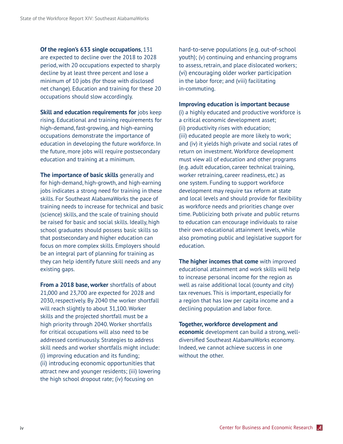**Of the region's 633 single occupations**, 131 are expected to decline over the 2018 to 2028 period, with 20 occupations expected to sharply decline by at least three percent and lose a minimum of 10 jobs (for those with disclosed net change). Education and training for these 20 occupations should slow accordingly.

**Skill and education requirements for** jobs keep rising. Educational and training requirements for high-demand, fast-growing, and high-earning occupations demonstrate the importance of education in developing the future workforce. In the future, more jobs will require postsecondary education and training at a minimum.

**The importance of basic skills** generally and for high-demand, high-growth, and high-earning jobs indicates a strong need for training in these skills. For Southeast AlabamaWorks the pace of training needs to increase for technical and basic (science) skills, and the scale of training should be raised for basic and social skills. Ideally, high school graduates should possess basic skills so that postsecondary and higher education can focus on more complex skills. Employers should be an integral part of planning for training as they can help identify future skill needs and any existing gaps.

**From a 2018 base, worker** shortfalls of about 21,000 and 23,700 are expected for 2028 and 2030, respectively. By 2040 the worker shortfall will reach slightly to about 31,100. Worker skills and the projected shortfall must be a high priority through 2040. Worker shortfalls for critical occupations will also need to be addressed continuously. Strategies to address skill needs and worker shortfalls might include: (i) improving education and its funding; (ii) introducing economic opportunities that attract new and younger residents; (iii) lowering the high school dropout rate; (iv) focusing on

hard-to-serve populations (e.g. out-of-school  $\Delta$ youth); (v) continuing and enhancing programs to assess, retrain, and place dislocated workers; (vi) encouraging older worker participation in the labor force; and (viii) facilitating in-commuting.

### **Improving education is important because**

(i) a highly educated and productive workforce is a critical economic development asset; (ii) productivity rises with education; (iii) educated people are more likely to work; and (iv) it yields high private and social rates of return on investment. Workforce development must view all of education and other programs (e.g. adult education, career technical training, worker retraining, career readiness, etc.) as one system. Funding to support workforce development may require tax reform at state and local levels and should provide for flexibility as workforce needs and priorities change over time. Publicizing both private and public returns to education can encourage individuals to raise their own educational attainment levels, while also promoting public and legislative support for education.

**The higher incomes that come** with improved educational attainment and work skills will help to increase personal income for the region as well as raise additional local (county and city) tax revenues. This is important, especially for a region that has low per capita income and a declining population and labor force.

### **Together, workforce development and**

**economic** development can build a strong, welldiversified Southeast AlabamaWorks economy. Indeed, we cannot achieve success in one without the other.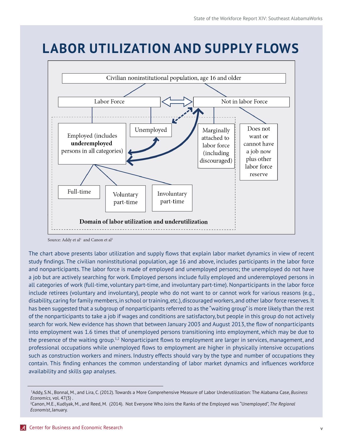# **LABOR UTILIZATION AND SUPPLY FLOWS**



Source: Addy et al $^1$  and Canon et al $^2$ 

The chart above presents labor utilization and supply flows that explain labor market dynamics in view of recent study findings. The civilian noninstitutional population, age 16 and above, includes participants in the labor force and nonparticipants. The labor force is made of employed and unemployed persons; the unemployed do not have a job but are actively searching for work. Employed persons include fully employed and underemployed persons in all categories of work (full-time, voluntary part-time, and involuntary part-time). Nonparticipants in the labor force include retirees (voluntary and involuntary), people who do not want to or cannot work for various reasons (e.g., disability, caring for family members, in school or training, etc.), discouraged workers, and other labor force reserves. It has been suggested that a subgroup of nonparticipants referred to as the "waiting group" is more likely than the rest of the nonparticipants to take a job if wages and conditions are satisfactory, but people in this group do not actively search for work. New evidence has shown that between January 2003 and August 2013, the flow of nonparticipants into employment was 1.6 times that of unemployed persons transitioning into employment, which may be due to the presence of the waiting group.<sup>1,2</sup> Nonparticipant flows to employment are larger in services, management, and professional occupations while unemployed flows to employment are higher in physically intensive occupations such as construction workers and miners. Industry effects should vary by the type and number of occupations they contain. This finding enhances the common understanding of labor market dynamics and influences workforce availability and skills gap analyses.

 <sup>1</sup>Addy, S.N., Bonnal, M., and Lira, C. (2012). Towards a More Comprehensive Measure of Labor Underutilization: The Alabama Case, *Business Economics,* vol. 47(3) .

<sup>2</sup> Canon, M.E., Kudlyak, M., and Reed, M. (2014). Not Everyone Who Joins the Ranks of the Employed was "Unemployed", *The Regional Economist*, January.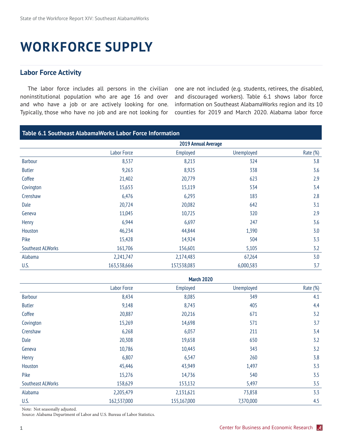# **WORKFORCE SUPPLY**

### **Labor Force Activity**

The labor force includes all persons in the civilian noninstitutional population who are age 16 and over and who have a job or are actively looking for one. Typically, those who have no job and are not looking for one are not included (e.g. students, retirees, the disabled, and discouraged workers). Table 6.1 shows labor force information on Southeast AlabamaWorks region and its 10 counties for 2019 and March 2020. Alabama labor force

### **Table 6.1 Southeast AlabamaWorks Labor Force Information**

|                          | 2019 Annual Average |             |            |          |  |  |  |  |
|--------------------------|---------------------|-------------|------------|----------|--|--|--|--|
|                          | <b>Labor Force</b>  | Employed    | Unemployed | Rate (%) |  |  |  |  |
| <b>Barbour</b>           | 8,537               | 8,213       | 324        | 3.8      |  |  |  |  |
| <b>Butler</b>            | 9,263               | 8,925       | 338        | 3.6      |  |  |  |  |
| Coffee                   | 21,402              | 20,779      | 623        | 2.9      |  |  |  |  |
| Covington                | 15,653              | 15,119      | 534        | 3.4      |  |  |  |  |
| Crenshaw                 | 6,476               | 6,293       | 183        | 2.8      |  |  |  |  |
| Dale                     | 20,724              | 20,082      | 642        | 3.1      |  |  |  |  |
| Geneva                   | 11,045              | 10,725      | 320        | 2.9      |  |  |  |  |
| Henry                    | 6,944               | 6,697       | 247        | 3.6      |  |  |  |  |
| Houston                  | 46,234              | 44,844      | 1,390      | 3.0      |  |  |  |  |
| Pike                     | 15,428              | 14,924      | 504        | 3.3      |  |  |  |  |
| <b>Southeast ALWorks</b> | 161,706             | 156,601     | 5,105      | 3.2      |  |  |  |  |
| Alabama                  | 2,241,747           | 2,174,483   | 67,264     | 3.0      |  |  |  |  |
| U.S.                     | 163,538,666         | 157,538,083 | 6,000,583  | 3.7      |  |  |  |  |

|                          | <b>March 2020</b>  |             |            |          |  |  |  |  |
|--------------------------|--------------------|-------------|------------|----------|--|--|--|--|
|                          | <b>Labor Force</b> | Employed    | Unemployed | Rate (%) |  |  |  |  |
| <b>Barbour</b>           | 8,434              | 8,085       | 349        | 4.1      |  |  |  |  |
| <b>Butler</b>            | 9,148              | 8,743       | 405        | 4.4      |  |  |  |  |
| Coffee                   | 20,887             | 20,216      | 671        | 3.2      |  |  |  |  |
| Covington                | 15,269             | 14,698      | 571        | 3.7      |  |  |  |  |
| Crenshaw                 | 6,268              | 6,057       | 211        | 3.4      |  |  |  |  |
| Dale                     | 20,308             | 19,658      | 650        | 3.2      |  |  |  |  |
| Geneva                   | 10,786             | 10,443      | 343        | 3.2      |  |  |  |  |
| Henry                    | 6,807              | 6,547       | 260        | 3.8      |  |  |  |  |
| Houston                  | 45,446             | 43,949      | 1,497      | 3.3      |  |  |  |  |
| Pike                     | 15,276             | 14,736      | 540        | 3.5      |  |  |  |  |
| <b>Southeast ALWorks</b> | 158,629            | 153,132     | 5,497      | 3.5      |  |  |  |  |
| Alabama                  | 2,205,479          | 2,131,621   | 73,858     | 3.3      |  |  |  |  |
| U.S.                     | 162,537,000        | 155,167,000 | 7,370,000  | 4.5      |  |  |  |  |

Note: Not seasonally adjusted.

Source: Alabama Department of Labor and U.S. Bureau of Labor Statistics.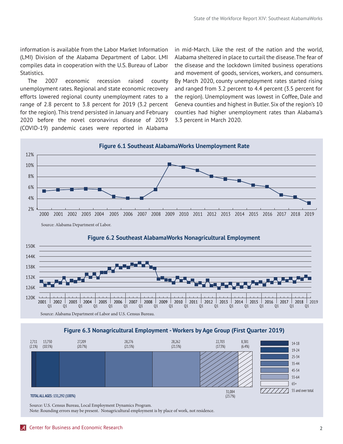information is available from the Labor Market Information (LMI) Division of the Alabama Department of Labor. LMI compiles data in cooperation with the U.S. Bureau of Labor Statistics.

The 2007 economic recession raised county unemployment rates. Regional and state economic recovery efforts lowered regional county unemployment rates to a range of 2.8 percent to 3.8 percent for 2019 (3.2 percent for the region). This trend persisted in January and February 2020 before the novel coronavirus disease of 2019 (COVID-19) pandemic cases were reported in Alabama

in mid-March. Like the rest of the nation and the world, Alabama sheltered in place to curtail the disease. The fear of the disease and the lockdown limited business operations and movement of goods, services, workers, and consumers. By March 2020, county unemployment rates started rising and ranged from 3.2 percent to 4.4 percent (3.5 percent for the region). Unemployment was lowest in Coffee, Dale and Geneva counties and highest in Butler. Six of the region's 10 counties had higher unemployment rates than Alabama's 3.3 percent in March 2020.



Source: Alabama Department of Labor and U.S. Census Bureau.

### **Figure 6.3 Nonagricultural Employment - Workers by Age Group (First Ouarter 2019)**

2001 2002 2003 2004 2005 2006 2007 2008 2009 2010 2011 2012 2013 2014 2015 2016 2017 2018 2019 Q1 Q1 Q1 Q1 Q1 Q1 Q1 Q1 Q1 Q1 Q1 Q1 Q1 Q1 Q1 Q1 Q1 Q1



Source: U.S. Census Bureau, Local Employment Dynamics Program. Note: Rounding errors may be present. Nonagricultural employment is by place of work, not residence.

120K 126K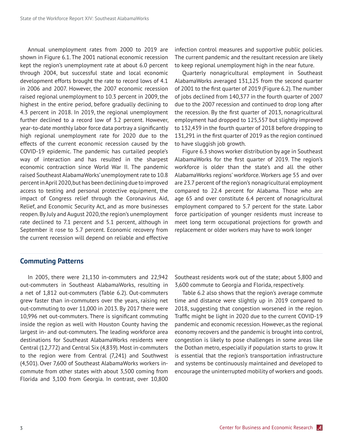Annual unemployment rates from 2000 to 2019 are shown in Figure 6.1. The 2001 national economic recession kept the region's unemployment rate at about 6.0 percent through 2004, but successful state and local economic development efforts brought the rate to record lows of 4.1 in 2006 and 2007. However, the 2007 economic recession raised regional unemployment to 10.3 percent in 2009, the highest in the entire period, before gradually declining to 4.3 percent in 2018. In 2019, the regional unemployment further declined to a record low of 3.2 percent. However, year-to-date monthly labor force data portray a significantly high regional unemployment rate for 2020 due to the effects of the current economic recession caused by the COVID-19 epidemic. The pandemic has curtailed people's way of interaction and has resulted in the sharpest economic contraction since World War II. The pandemic raised Southeast AlabamaWorks' unemployment rate to 10.8 percent in April 2020, but has been declining due to improved access to testing and personal protective equipment, the impact of Congress relief through the Coronavirus Aid, Relief, and Economic Security Act, and as more businesses reopen. By July and August 2020, the region's unemployment rate declined to 7.1 percent and 5.1 percent, although in September it rose to 5.7 percent. Economic recovery from the current recession will depend on reliable and effective

infection control measures and supportive public policies. The current pandemic and the resultant recession are likely to keep regional unemployment high in the near future.

Quarterly nonagricultural employment in Southeast AlabamaWorks averaged 131,125 from the second quarter of 2001 to the first quarter of 2019 (Figure 6.2). The number of jobs declined from 140,377 in the fourth quarter of 2007 due to the 2007 recession and continued to drop long after the recession. By the first quarter of 2013, nonagricultural employment had dropped to 125,557 but slightly improved to 132,439 in the fourth quarter of 2018 before dropping to 131,291 in the first quarter of 2019 as the region continued to have sluggish job growth.

Figure 6.3 shows worker distribution by age in Southeast Alabama Works for the first quarter of 2019. The region's workforce is older than the state's and all the other AlabamaWorks regions' workforce. Workers age 55 and over are 23.7 percent of the region's nonagricultural employment compared to 22.4 percent for Alabama. Those who are age 65 and over constitute 6.4 percent of nonagricultural employment compared to 5.7 percent for the state. Labor force participation of younger residents must increase to meet long term occupational projections for growth and replacement or older workers may have to work longer

### **Commuting Patterns**

In 2005, there were 21,130 in-commuters and 22,942 out-commuters in Southeast AlabamaWorks, resulting in a net of 1,812 out-commuters (Table 6.2). Out-commuters grew faster than in-commuters over the years, raising net out-commuting to over 11,000 in 2013. By 2017 there were 10,996 net out-commuters. There is significant commuting inside the region as well with Houston County having the largest in- and out-commuters. The leading workforce area destinations for Southeast AlabamaWorks residents were Central (12,772) and Central Six (4,839). Most in-commuters to the region were from Central (7,241) and Southwest (4,501). Over 7,600 of Southeast AlabamaWorks workers incommute from other states with about 3,500 coming from Florida and 3,100 from Georgia. In contrast, over 10,800

Southeast residents work out of the state; about 5,800 and 3,600 commute to Georgia and Florida, respectively.

Table 6.2 also shows that the region's average commute time and distance were slightly up in 2019 compared to 2018, suggesting that congestion worsened in the region. Traffic might be light in 2020 due to the current COVID-19 pandemic and economic recession. However, as the regional economy recovers and the pandemic is brought into control, congestion is likely to pose challenges in some areas like the Dothan metro, especially if population starts to grow. It is essential that the region's transportation infrastructure and systems be continuously maintained and developed to encourage the uninterrupted mobility of workers and goods.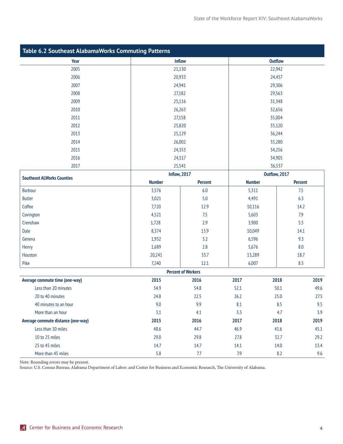| Table 6.2 Southeast AlabamaWorks Commuting Patterns |               |                           |               |                |                |  |  |
|-----------------------------------------------------|---------------|---------------------------|---------------|----------------|----------------|--|--|
| Year                                                |               | <b>Inflow</b>             |               | <b>Outflow</b> |                |  |  |
| 2005                                                |               | 21,130                    |               | 22,942         |                |  |  |
| 2006                                                |               | 20,933                    |               |                | 24,457         |  |  |
| 2007                                                |               | 24,941                    |               | 29,306         |                |  |  |
| 2008                                                |               | 27,182                    |               |                |                |  |  |
| 2009                                                |               | 25,116                    |               | 31,348         |                |  |  |
| 2010                                                |               | 26,263                    |               | 32,656         |                |  |  |
| 2011                                                |               | 27,158                    |               | 35,004         |                |  |  |
| 2012                                                |               | 25,820                    |               | 35,120         |                |  |  |
| 2013                                                |               | 25,129                    |               | 36,244         |                |  |  |
| 2014                                                |               | 26,002                    |               | 35,280         |                |  |  |
| 2015                                                |               | 24,353                    |               | 34,256         |                |  |  |
| 2016                                                |               | 24,517                    |               | 34,905         |                |  |  |
| 2017                                                |               | 25,541                    |               | 36,537         |                |  |  |
| <b>Southeast ALWorks Counties</b>                   |               | <b>Inflow, 2017</b>       |               | Outflow, 2017  |                |  |  |
|                                                     | <b>Number</b> | <b>Percent</b>            | <b>Number</b> |                | <b>Percent</b> |  |  |
| <b>Barbour</b>                                      | 3,576         | $6.0\,$                   | 5,311         |                | 7.5            |  |  |
| <b>Butler</b>                                       | 3,021         | 5.0                       | 4,491         |                | 6.3            |  |  |
| Coffee                                              | 7,720         | 12.9                      | 10,116        |                | 14.2           |  |  |
| Covington                                           | 4,521         | 7.5                       | 5,603         |                | 7.9            |  |  |
| Crenshaw                                            | 1,728         | 2.9                       | 3,900         | 5.5            |                |  |  |
| Dale                                                | 8,374         | 13.9                      | 10,049        |                | 14.1           |  |  |
| Geneva                                              | 1,932         | 3.2                       | 6,596         |                | 9.3            |  |  |
| Henry                                               | 1,689         | 2.8                       | 5,676         |                | $8.0\,$        |  |  |
| Houston                                             | 20,241        | 33.7                      | 13,289        |                | 18.7           |  |  |
| Pike                                                | 7,240         | $12.1$                    | 6,007         |                | 8.5            |  |  |
|                                                     |               | <b>Percent of Workers</b> |               |                |                |  |  |
| Average commute time (one-way)                      | 2015          | 2016                      | 2017          | 2018           | 2019           |  |  |
| Less than 20 minutes                                | 54.9          | 54.8                      | 52.1          | 50.1           | 49.6           |  |  |
| 20 to 40 minutes                                    | 24.8          | 22.5                      | 26.2          | 25.0           | 27.5           |  |  |
| 40 minutes to an hour                               | 9.0           | 9.9                       | 8.1           | 8.5            | 9.5            |  |  |
| More than an hour                                   | 3.1           | 4.1                       | 3.3           | 4.7<br>3.9     |                |  |  |
| Average commute distance (one-way)                  | 2015          | 2016                      | 2017          | 2018<br>2019   |                |  |  |
| Less than 10 miles                                  | 48.6          | 44.7                      | 46.9          | $41.6$         | 45.1           |  |  |
| 10 to 25 miles                                      | 29.0          | 29.8                      | 27.8          | 32.7           | 29.2           |  |  |
| 25 to 45 miles                                      | 14.7          | 14.7                      | $14.1\,$      | 14.0           | 13.4           |  |  |
| More than 45 miles                                  | 5.8           | 7.7                       | 7.9           | 8.2            | 9.6            |  |  |

Note: Rounding errors may be present.

Source: U.S. Census Bureau; Alabama Department of Labor; and Center for Business and Economic Research, The University of Alabama.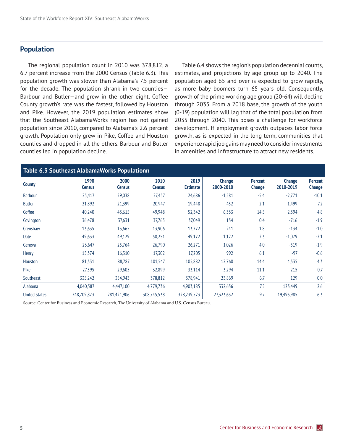### **Population**

The regional population count in 2010 was 378,812, a 6.7 percent increase from the 2000 Census (Table 6.3). This population growth was slower than Alabama's 7.5 percent for the decade. The population shrank in two counties— Barbour and Butler—and grew in the other eight. Coffee County growth's rate was the fastest, followed by Houston and Pike. However, the 2019 population estimates show that the Southeast AlabamaWorks region has not gained population since 2010, compared to Alabama's 2.6 percent growth. Population only grew in Pike, Coffee and Houston counties and dropped in all the others. Barbour and Butler counties led in population decline.

Table 6.4 shows the region's population decennial counts, estimates, and projections by age group up to 2040. The population aged 65 and over is expected to grow rapidly, as more baby boomers turn 65 years old. Consequently, growth of the prime working age group (20-64) will decline through 2035. From a 2018 base, the growth of the youth (0-19) population will lag that of the total population from 2035 through 2040. This poses a challenge for workforce development. If employment growth outpaces labor force growth, as is expected in the long term, communities that experience rapid job gains may need to consider investments in amenities and infrastructure to attract new residents.

| <b>Table 6.3 Southeast AlabamaWorks Populationn</b> |                |                       |                |                         |                            |                          |                            |                                 |  |
|-----------------------------------------------------|----------------|-----------------------|----------------|-------------------------|----------------------------|--------------------------|----------------------------|---------------------------------|--|
| County                                              | 1990<br>Census | 2000<br><b>Census</b> | 2010<br>Census | 2019<br><b>Estimate</b> | <b>Change</b><br>2000-2010 | <b>Percent</b><br>Change | <b>Change</b><br>2010-2019 | <b>Percent</b><br><b>Change</b> |  |
| <b>Barbour</b>                                      | 25,417         | 29,038                | 27,457         | 24,686                  | $-1,581$                   | $-5.4$                   | $-2,771$                   | $-10.1$                         |  |
| <b>Butler</b>                                       | 21,892         | 21,399                | 20,947         | 19,448                  | $-452$                     | $-2.1$                   | $-1,499$                   | $-7.2$                          |  |
| Coffee                                              | 40,240         | 43,615                | 49,948         | 52,342                  | 6,333                      | 14.5                     | 2,394                      | 4.8                             |  |
| Covington                                           | 36,478         | 37,631                | 37,765         | 37,049                  | 134                        | 0.4                      | $-716$                     | $-1.9$                          |  |
| Crenshaw                                            | 13,635         | 13,665                | 13,906         | 13,772                  | 241                        | 1.8                      | $-134$                     | $-1.0$                          |  |
| Dale                                                | 49,633         | 49,129                | 50,251         | 49,172                  | 1,122                      | 2.3                      | $-1,079$                   | $-2.1$                          |  |
| Geneva                                              | 23,647         | 25,764                | 26,790         | 26,271                  | 1,026                      | 4.0                      | $-519$                     | $-1.9$                          |  |
| Henry                                               | 15,374         | 16,310                | 17,302         | 17,205                  | 992                        | 6.1                      | $-97$                      | $-0.6$                          |  |
| Houston                                             | 81,331         | 88,787                | 101,547        | 105,882                 | 12,760                     | 14.4                     | 4,335                      | 4.3                             |  |
| Pike                                                | 27,595         | 29,605                | 32,899         | 33,114                  | 3,294                      | 11.1                     | 215                        | 0.7                             |  |
| Southeast                                           | 335,242        | 354,943               | 378,812        | 378,941                 | 23,869                     | 6.7                      | 129                        | 0.0                             |  |
| Alabama                                             | 4,040,587      | 4,447,100             | 4,779,736      | 4,903,185               | 332,636                    | 7.5                      | 123,449                    | 2.6                             |  |
| <b>United States</b>                                | 248,709,873    | 281,421,906           | 308,745,538    | 328,239,523             | 27,323,632                 | 9.7                      | 19,493,985                 | 6.3                             |  |

Source: Center for Business and Economic Research, The University of Alabama and U.S. Census Bureau.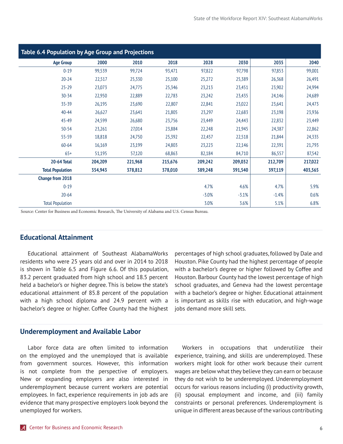| Table 6.4 Population by Age Group and Projections |         |         |         |         |         |         |         |
|---------------------------------------------------|---------|---------|---------|---------|---------|---------|---------|
| <b>Age Group</b>                                  | 2000    | 2010    | 2018    | 2028    | 2030    | 2035    | 2040    |
| $0 - 19$                                          | 99,539  | 99,724  | 93,471  | 97,822  | 97,798  | 97,853  | 99,001  |
| $20 - 24$                                         | 22,517  | 25,330  | 25,100  | 25,272  | 25,389  | 26,368  | 26,491  |
| $25 - 29$                                         | 23,073  | 24,775  | 25,346  | 23,213  | 23,451  | 23,902  | 24,994  |
| $30 - 34$                                         | 22,950  | 22,889  | 22,783  | 23,242  | 23,435  | 24,146  | 24,689  |
| 35-39                                             | 26,195  | 23,690  | 22,807  | 22,841  | 23,022  | 23,641  | 24,473  |
| $40 - 44$                                         | 26,627  | 23,641  | 21,805  | 23,297  | 22,683  | 23,198  | 23,936  |
| 45-49                                             | 24,599  | 26,680  | 23,756  | 23,449  | 24,443  | 22,832  | 23,449  |
| $50 - 54$                                         | 23,261  | 27,014  | 23,884  | 22,248  | 21,945  | 24,387  | 22,862  |
| 55-59                                             | 18,818  | 24,750  | 25,392  | 22,457  | 22,518  | 21,844  | 24,335  |
| $60 - 64$                                         | 16,169  | 23,199  | 24,803  | 23,223  | 22,146  | 22,391  | 21,793  |
| $65+$                                             | 51,195  | 57,120  | 68,863  | 82,184  | 84,710  | 86,557  | 87,542  |
| <b>20-64 Total</b>                                | 204,209 | 221,968 | 215,676 | 209,242 | 209,032 | 212,709 | 217,022 |
| <b>Total Population</b>                           | 354,943 | 378,812 | 378,010 | 389,248 | 391,540 | 397,119 | 403,565 |
| Change from 2018                                  |         |         |         |         |         |         |         |
| $0 - 19$                                          |         |         |         | 4.7%    | 4.6%    | 4.7%    | 5.9%    |
| $20 - 64$                                         |         |         |         | $-3.0%$ | $-3.1%$ | $-1.4%$ | 0.6%    |
| <b>Total Population</b>                           |         |         |         | 3.0%    | 3.6%    | 5.1%    | 6.8%    |

Source: Center for Business and Economic Research, The University of Alabama and U.S. Census Bureau.

### **Educational Attainment**

Educational attainment of Southeast AlabamaWorks residents who were 25 years old and over in 2014 to 2018 is shown in Table 6.5 and Figure 6.6. Of this population, 83.2 percent graduated from high school and 18.5 percent held a bachelor's or higher degree. This is below the state's educational attainment of 85.8 percent of the population with a high school diploma and 24.9 percent with a bachelor's degree or higher. Coffee County had the highest

**Underemployment and Available Labor**

Labor force data are often limited to information on the employed and the unemployed that is available from government sources. However, this information is not complete from the perspective of employers. New or expanding employers are also interested in underemployment because current workers are potential employees. In fact, experience requirements in job ads are evidence that many prospective employers look beyond the unemployed for workers.

percentages of high school graduates, followed by Dale and Houston. Pike County had the highest percentage of people with a bachelor's degree or higher followed by Coffee and Houston. Barbour County had the lowest percentage of high school graduates, and Geneva had the lowest percentage with a bachelor's degree or higher. Educational attainment is important as skills rise with education, and high-wage jobs demand more skill sets.

Workers in occupations that underutilize their experience, training, and skills are underemployed. These workers might look for other work because their current wages are below what they believe they can earn or because they do not wish to be underemployed. Underemployment occurs for various reasons including (i) productivity growth, (ii) spousal employment and income, and (iii) family constraints or personal preferences. Underemployment is unique in different areas because of the various contributing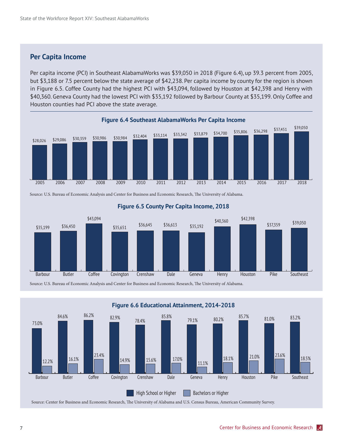# **Per Capita Income**

Per capita income (PCI) in Southeast AlabamaWorks was \$39,050 in 2018 (Figure 6.4), up 39.3 percent from 2005, but \$3,188 or 7.5 percent below the state average of \$42,238. Per capita income by county for the region is shown in Figure 6.5. Coffee County had the highest PCI with \$43,094, followed by Houston at \$42,398 and Henry with \$40,360. Geneva County had the lowest PCI with \$35,192 followed by Barbour County at \$35,199. Only Coffee and Houston counties had PCI above the state average.



Source: U.S. Bureau of Economic Analysis and Center for Business and Economic Research, The University of Alabama.



### **Figure 6.5 County Per Capita Income, 2018**

Source: U.S. Bureau of Economic Analysis and Center for Business and Economic Research, The University of Alabama.



Source: Center for Business and Economic Research, The University of Alabama and U.S. Census Bureau, American Community Survey.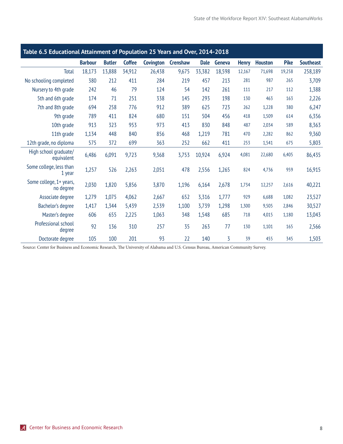| Table 6.5 Educational Attainment of Population 25 Years and Over, 2014-2018 |                |               |               |                  |                 |             |                |              |                |             |                  |
|-----------------------------------------------------------------------------|----------------|---------------|---------------|------------------|-----------------|-------------|----------------|--------------|----------------|-------------|------------------|
|                                                                             | <b>Barbour</b> | <b>Butler</b> | <b>Coffee</b> | <b>Covington</b> | <b>Crenshaw</b> | <b>Dale</b> | Geneva         | <b>Henry</b> | <b>Houston</b> | <b>Pike</b> | <b>Southeast</b> |
| <b>Total</b>                                                                | 18,173         | 13,888        | 34,912        | 26,438           | 9,675           | 33,382      | 18,598         | 12,167       | 71,698         | 19,258      | 258,189          |
| No schooling completed                                                      | 380            | 212           | 411           | 284              | 219             | 457         | 213            | 281          | 987            | 265         | 3,709            |
| Nursery to 4th grade                                                        | 242            | 46            | 79            | 124              | 54              | 142         | 261            | 111          | 217            | 112         | 1,388            |
| 5th and 6th grade                                                           | 174            | 71            | 251           | 338              | 145             | 293         | 198            | 130          | 463            | 163         | 2,226            |
| 7th and 8th grade                                                           | 694            | 258           | 776           | 912              | 389             | 625         | 723            | 262          | 1,228          | 380         | 6,247            |
| 9th grade                                                                   | 789            | 411           | 824           | 680              | 151             | 504         | 456            | 418          | 1,509          | 614         | 6,356            |
| 10th grade                                                                  | 913            | 323           | 953           | 973              | 413             | 830         | 848            | 487          | 2,034          | 589         | 8,363            |
| 11th grade                                                                  | 1,134          | 448           | 840           | 856              | 468             | 1,219       | 781            | 470          | 2,282          | 862         | 9,360            |
| 12th grade, no diploma                                                      | 575            | 372           | 699           | 363              | 252             | 662         | 411            | 253          | 1,541          | 675         | 5,803            |
| High school graduate/<br>equivalent                                         | 6,486          | 6,091         | 9,723         | 9,368            | 3,753           | 10,924      | 6,924          | 4,081        | 22,680         | 6,405       | 86,435           |
| Some college, less than<br>1 year                                           | 1,257          | 526           | 2,263         | 2,051            | 478             | 2,556       | 1,265          | 824          | 4,736          | 959         | 16,915           |
| Some college, 1+ years,<br>no degree                                        | 2,030          | 1,820         | 5,856         | 3,870            | 1,196           | 6,164       | 2,678          | 1,734        | 12,257         | 2,616       | 40,221           |
| Associate degree                                                            | 1,279          | 1,075         | 4,062         | 2,667            | 652             | 3,316       | 1,777          | 929          | 6,688          | 1,082       | 23,527           |
| Bachelor's degree                                                           | 1,417          | 1,344         | 5,439         | 2,539            | 1,100           | 3,739       | 1,298          | 1,300        | 9,505          | 2,846       | 30,527           |
| Master's degree                                                             | 606            | 655           | 2,225         | 1,063            | 348             | 1,548       | 685            | 718          | 4,015          | 1,180       | 13,043           |
| Professional school<br>degree                                               | 92             | 136           | 310           | 257              | 35              | 263         | 77             | 130          | 1,101          | 165         | 2,566            |
| Doctorate degree                                                            | 105            | 100           | 201           | 93               | 22              | 140         | $\overline{3}$ | 39           | 455            | 345         | 1,503            |

Source: Center for Business and Economic Research, The University of Alabama and U.S. Census Bureau, American Community Survey.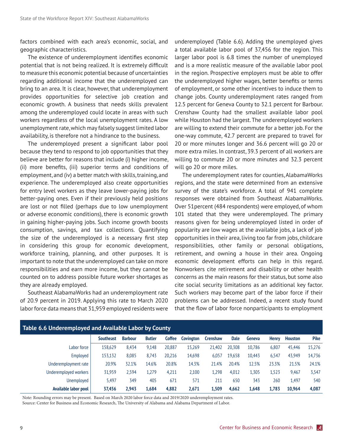factors combined with each area's economic, social, and geographic characteristics.

The existence of underemployment identifies economic potential that is not being realized. It is extremely difficult to measure this economic potential because of uncertainties regarding additional income that the underemployed can bring to an area. It is clear, however, that underemployment provides opportunities for selective job creation and economic growth. A business that needs skills prevalent among the underemployed could locate in areas with such workers regardless of the local unemployment rates. A low unemployment rate, which may falsely suggest limited labor availability, is therefore not a hindrance to the business.

The underemployed present a significant labor pool because they tend to respond to job opportunities that they believe are better for reasons that include (i) higher income, (ii) more benefits, (iii) superior terms and conditions of employment, and (iv) a better match with skills, training, and experience. The underemployed also create opportunities for entry level workers as they leave lower-paying jobs for better-paying ones. Even if their previously held positions are lost or not filled (perhaps due to low unemployment or adverse economic conditions), there is economic growth in gaining higher-paying jobs. Such income growth boosts consumption, savings, and tax collections. Quantifying the size of the underemployed is a necessary first step in considering this group for economic development, workforce training, planning, and other purposes. It is important to note that the underemployed can take on more responsibilities and earn more income, but they cannot be counted on to address possible future worker shortages as they are already employed.

Southeast AlabamaWorks had an underemployment rate of 20.9 percent in 2019. Applying this rate to March 2020 labor force data means that 31,959 employed residents were underemployed (Table 6.6). Adding the unemployed gives a total available labor pool of 37,456 for the region. This larger labor pool is 6.8 times the number of unemployed and is a more realistic measure of the available labor pool in the region. Prospective employers must be able to offer the underemployed higher wages, better benefits or terms of employment, or some other incentives to induce them to change jobs. County underemployment rates ranged from 12.5 percent for Geneva County to 32.1 percent for Barbour. Crenshaw County had the smallest available labor pool while Houston had the largest. The underemployed workers are willing to extend their commute for a better job. For the one-way commute, 42.7 percent are prepared to travel for 20 or more minutes longer and 36.6 percent will go 20 or more extra miles. In contrast, 39.3 percent of all workers are willing to commute 20 or more minutes and 32.3 percent will go 20 or more miles.

The underemployment rates for counties, AlabamaWorks regions, and the state were determined from an extensive survey of the state's workforce. A total of 941 complete responses were obtained from Southeast AlabamaWorks. Over 51percent (484 respondents) were employed, of whom 101 stated that they were underemployed. The primary reasons given for being underemployed listed in order of popularity are low wages at the available jobs, a lack of job opportunities in their area, living too far from jobs, childcare responsibilities, other family or personal obligations, retirement, and owning a house in their area. Ongoing economic development efforts can help in this regard. Nonworkers cite retirement and disability or other health concerns as the main reasons for their status, but some also cite social security limitations as an additional key factor. Such workers may become part of the labor force if their problems can be addressed. Indeed, a recent study found that the flow of labor force nonparticipants to employment

| Table 6.6 Underemployed and Available Labor by County |                  |                |               |               |                  |          |             |        |              |                |             |
|-------------------------------------------------------|------------------|----------------|---------------|---------------|------------------|----------|-------------|--------|--------------|----------------|-------------|
|                                                       | <b>Southeast</b> | <b>Barbour</b> | <b>Butler</b> | <b>Coffee</b> | <b>Covington</b> | Crenshaw | <b>Dale</b> | Geneva | <b>Henry</b> | <b>Houston</b> | <b>Pike</b> |
| Labor force                                           | 158.629          | 8.434          | 9.148         | 20.887        | 15,269           | 21.402   | 20.308      | 10.786 | 6,807        | 45.446         | 15,276      |
| Employed                                              | 153,132          | 8.085          | 8.743         | 20.216        | 14,698           | 6,057    | 19,658      | 10.443 | 6.547        | 43.949         | 14.736      |
| Underemployment rate                                  | 20.9%            | 32.1%          | 14.6%         | 20.8%         | 14.3%            | 21.4%    | 20.4%       | 12.5%  | 23.3%        | 21.5%          | 24.1%       |
| Underemployed workers                                 | 31,959           | 2.594          | 1,279         | 4,211         | 2,100            | L.298    | 4,012       | 1,305  | 1,523        | 9.467          | 3,547       |
| <b>Unemployed</b>                                     | 5.497            | 349            | 405           | 671           | 571              | 211      | 650         | 343    | 260          | 1.497          | 540         |
| Available labor pool                                  | 37.456           | 2.943          | 1.684         | 4,882         | 2,671            | 1.509    | 4,662       | 1.648  | 1.783        | 10.964         | 4,087       |

Note: Rounding errors may be present. Based on March 2020 labor force data and 2019/2020 underemployment rates. Source: Center for Business and Economic Research, The University of Alabama and Alabama Department of Labor.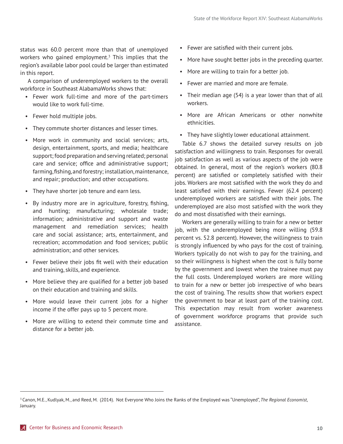status was 60.0 percent more than that of unemployed workers who gained employment. $^3$  This implies that the region's available labor pool could be larger than estimated in this report.

A comparison of underemployed workers to the overall workforce in Southeast AlabamaWorks shows that:

- Fewer work full-time and more of the part-timers would like to work full-time.
- Fewer hold multiple jobs.
- They commute shorter distances and lesser times.
- More work in community and social services; arts, design, entertainment, sports, and media; healthcare support; food preparation and serving related; personal care and service; office and administrative support; farming, fishing, and forestry; installation, maintenance, and repair; production; and other occupations.
- They have shorter job tenure and earn less.
- By industry more are in agriculture, forestry, fishing, and hunting; manufacturing; wholesale trade; information; administrative and support and waste management and remediation services; health care and social assistance; arts, entertainment, and recreation; accommodation and food services; public administration; and other services.
- Fewer believe their jobs fit well with their education and training, skills, and experience.
- More believe they are qualified for a better job based on their education and training and skills.
- More would leave their current jobs for a higher income if the offer pays up to 5 percent more.
- More are willing to extend their commute time and distance for a better job.
- Fewer are satisfied with their current jobs.
- More have sought better jobs in the preceding quarter.
- More are willing to train for a better job.
- Fewer are married and more are female.
- Their median age (54) is a year lower than that of all workers.
- More are African Americans or other nonwhite ethnicities.
- They have slightly lower educational attainment.

Table 6.7 shows the detailed survey results on job satisfaction and willingness to train. Responses for overall job satisfaction as well as various aspects of the job were obtained. In general, most of the region's workers (80.8 percent) are satisfied or completely satisfied with their jobs. Workers are most satisfied with the work they do and least satisfied with their earnings. Fewer (62.4 percent) underemployed workers are satisfied with their jobs. The underemployed are also most satisfied with the work they do and most dissatisfied with their earnings.

Workers are generally willing to train for a new or better job, with the underemployed being more willing (59.8 percent vs. 52.8 percent). However, the willingness to train is strongly influenced by who pays for the cost of training. Workers typically do not wish to pay for the training, and so their willingness is highest when the cost is fully borne by the government and lowest when the trainee must pay the full costs. Underemployed workers are more willing to train for a new or better job irrespective of who bears the cost of training. The results show that workers expect the government to bear at least part of the training cost. This expectation may result from worker awareness of government workforce programs that provide such assistance.

<sup>3</sup> Canon, M.E., Kudlyak, M., and Reed, M. (2014). Not Everyone Who Joins the Ranks of the Employed was "Unemployed", *The Regional Economist*, January.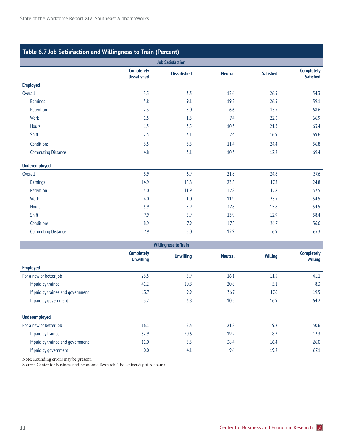### Table 6.7 Job Satisfaction and Willingness to Train (Percent)

|                           |                                          | <b>Job Satisfaction</b> |                |                  |                                       |
|---------------------------|------------------------------------------|-------------------------|----------------|------------------|---------------------------------------|
|                           | <b>Completely</b><br><b>Dissatisfied</b> | <b>Dissatisfied</b>     | <b>Neutral</b> | <b>Satisfied</b> | <b>Completely</b><br><b>Satisfied</b> |
| <b>Employed</b>           |                                          |                         |                |                  |                                       |
| Overall                   | 3.3                                      | 3.3                     | 12.6           | 26.5             | 54.3                                  |
| Earnings                  | 5.8                                      | 9.1                     | 19.2           | 26.5             | 39.1                                  |
| Retention                 | 2.3                                      | 5.0                     | 6.6            | 15.7             | 68.6                                  |
| Work                      | 1.5                                      | 1.5                     | 7.4            | 22.3             | 66.9                                  |
| Hours                     | 1.5                                      | 3.5                     | 10.3           | 21.3             | 63.4                                  |
| Shift                     | 2.5                                      | 3.1                     | 7.4            | 16.9             | 69.6                                  |
| Conditions                | 3.5                                      | 3.5                     | 11.4           | 24.4             | 56.8                                  |
| <b>Commuting Distance</b> | 4.8                                      | 3.1                     | 10.3           | 12.2             | 69.4                                  |
| <b>Underemployed</b>      |                                          |                         |                |                  |                                       |
| <b>Overall</b>            | 8.9                                      | 6.9                     | 21.8           | 24.8             | 37.6                                  |
| Earnings                  | 14.9                                     | 18.8                    | 23.8           | 17.8             | 24.8                                  |
| Retention                 | 4.0                                      | 11.9                    | 17.8           | 17.8             | 52.5                                  |
| Work                      | 4.0                                      | $1.0\,$                 | 11.9           | 28.7             | 54.5                                  |
| <b>Hours</b>              | 5.9                                      | 5.9                     | 17.8           | 15.8             | 54.5                                  |
| Shift                     | 7.9                                      | 5.9                     | 13.9           | 12.9             | 58.4                                  |
| Conditions                | 8.9                                      | 7.9                     | 17.8           | 26.7             | 36.6                                  |
| <b>Commuting Distance</b> | 7.9                                      | 5.0                     | 12.9           | 6.9              | 67.3                                  |

| <b>Willingness to Train</b>                                                                   |      |      |      |      |      |  |  |  |  |
|-----------------------------------------------------------------------------------------------|------|------|------|------|------|--|--|--|--|
| <b>Completely</b><br><b>Unwilling</b><br><b>Willing</b><br><b>Neutral</b><br><b>Unwilling</b> |      |      |      |      |      |  |  |  |  |
| <b>Employed</b>                                                                               |      |      |      |      |      |  |  |  |  |
| For a new or better job                                                                       | 23.5 | 5.9  | 16.1 | 11.5 | 41.1 |  |  |  |  |
| If paid by trainee                                                                            | 41.2 | 20.8 | 20.8 | 5.1  | 8.3  |  |  |  |  |
| If paid by trainee and government                                                             | 13.7 | 9.9  | 36.7 | 17.6 | 19.5 |  |  |  |  |
| If paid by government                                                                         | 3.2  | 3.8  | 10.5 | 16.9 | 64.2 |  |  |  |  |
| <b>Underemployed</b>                                                                          |      |      |      |      |      |  |  |  |  |
| For a new or better job                                                                       | 16.1 | 2.3  | 21.8 | 9.2  | 50.6 |  |  |  |  |
| If paid by trainee                                                                            | 32.9 | 20.6 | 19.2 | 8.2  | 12.3 |  |  |  |  |
| If paid by trainee and government                                                             | 11.0 | 5.5  | 38.4 | 16.4 | 26.0 |  |  |  |  |
| If paid by government                                                                         | 0.0  | 4.1  | 9.6  | 19.2 | 67.1 |  |  |  |  |

Note: Rounding errors may be present.

Source: Center for Business and Economic Research, The University of Alabama.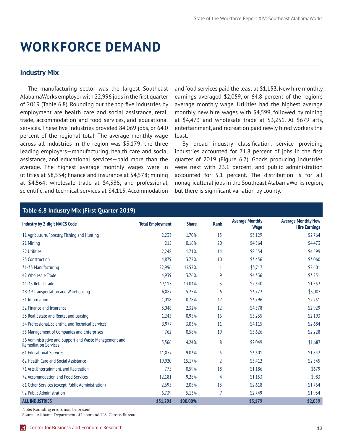# **WORKFORCE DEMAND**

### **Industry Mix**

The manufacturing sector was the largest Southeast AlabamaWorks employer with 22,996 jobs in the first quarter of 2019 (Table 6.8). Rounding out the top five industries by employment are health care and social assistance, retail trade, accommodation and food services, and educational services. These five industries provided 84,069 jobs, or 64.0 percent of the regional total. The average monthly wage across all industries in the region was  $$3,179$ ; the three leading employers—manufacturing, health care and social assistance, and educational services—paid more than the average. The highest average monthly wages were in utilities at  $$8,554$ ; finance and insurance at  $$4,578$ ; mining at  $$4,564$ ; wholesale trade at  $$4,336$ ; and professional, scientific, and technical services at \$4,115. Accommodation

and food services paid the least at \$1,153. New hire monthly earnings averaged \$2,059, or 64.8 percent of the region's average monthly wage. Utilities had the highest average monthly new hire wages with \$4,599, followed by mining at \$4,473 and wholesale trade at \$3,251. At \$679 arts, entertainment, and recreation paid newly hired workers the least.

By broad industry classification, service providing industries accounted for 71.8 percent of jobs in the first quarter of 2019 (Figure 6.7). Goods producing industries were next with 23.1 percent, and public administration accounted for 5.1 percent. The distribution is for all nonagricultural jobs in the Southeast AlabamaWorks region, but there is significant variation by county.

| $\frac{1}{2}$                                                                         |                         |              |                |                                       |                                                    |
|---------------------------------------------------------------------------------------|-------------------------|--------------|----------------|---------------------------------------|----------------------------------------------------|
| <b>Industry by 2-digit NAICS Code</b>                                                 | <b>Total Employment</b> | <b>Share</b> | <b>Rank</b>    | <b>Average Monthly</b><br><b>Wage</b> | <b>Average Monthly New</b><br><b>Hire Earnings</b> |
| 11 Agriculture, Forestry, Fishing and Hunting                                         | 2,233                   | 1.70%        | 15             | \$3,129                               | \$2,764                                            |
| 21 Mining                                                                             | 215                     | 0.16%        | 20             | \$4,564                               | \$4,473                                            |
| 22 Utilities                                                                          | 2,248                   | 1.71%        | 14             | \$8,554                               | \$4,599                                            |
| 23 Construction                                                                       | 4,879                   | 3.72%        | 10             | \$3,456                               | \$3,060                                            |
| 31-33 Manufacturing                                                                   | 22,996                  | 17.52%       | 1              | \$3,717                               | \$2,601                                            |
| 42 Wholesale Trade                                                                    | 4,939                   | 3.76%        | 9              | \$4,336                               | \$3,251                                            |
| 44-45 Retail Trade                                                                    | 17,115                  | 13.04%       | 3              | \$2,340                               | \$1,552                                            |
| 48-49 Transportation and Warehousing                                                  | 6,887                   | 5.25%        | 6              | \$3,772                               | \$3,007                                            |
| 51 Information                                                                        | 1,018                   | 0.78%        | 17             | \$3,796                               | \$2,251                                            |
| 52 Finance and Insurance                                                              | 3,048                   | 2.32%        | 12             | \$4,578                               | \$2,929                                            |
| 53 Real Estate and Rental and Leasing                                                 | 1,243                   | 0.95%        | 16             | \$3,235                               | \$2,193                                            |
| 54 Professional, Scientific, and Technical Services                                   | 3,977                   | 3.03%        | 11             | \$4,115                               | \$2,684                                            |
| 55 Management of Companies and Enterprises                                            | 762                     | 0.58%        | 19             | \$3,626                               | \$2,228                                            |
| 56 Administrative and Support and Waste Management and<br><b>Remediation Services</b> | 5,566                   | 4.24%        | 8              | \$2,049                               | \$1,687                                            |
| <b>61 Educational Services</b>                                                        | 11,857                  | 9.03%        | 5              | \$3,301                               | \$1,842                                            |
| 62 Health Care and Social Assistance                                                  | 19,920                  | 15.17%       | 2              | \$3,412                               | \$2,545                                            |
| 71 Arts, Entertainment, and Recreation                                                | 775                     | 0.59%        | 18             | \$1,186                               | \$679                                              |
| 72 Accommodation and Food Services                                                    | 12,181                  | 9.28%        | 4              | \$1,153                               | \$983                                              |
| 81 Other Services (except Public Administration)                                      | 2,695                   | 2.05%        | 13             | \$2,618                               | \$1,764                                            |
| 92 Public Administration                                                              | 6,739                   | 5.13%        | $\overline{7}$ | \$2,749                               | \$1,934                                            |
| <b>ALL INDUSTRIES</b>                                                                 | 131,291                 | 100.00%      |                | \$3,179                               | \$2,059                                            |

# **Table 6.8 Industry Mix (First Quarter 2019)**

Note: Rounding errors may be present.

Source: Alabama Department of Labor and U.S. Census Bureau.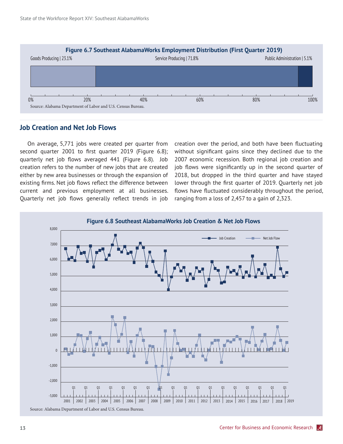

## **Job Creation and Net Job Flows**

On average, 5,771 jobs were created per quarter from second quarter 2001 to first quarter 2019 (Figure 6.8); quarterly net job flows averaged 441 (Figure 6.8). Job creation refers to the number of new jobs that are created either by new area businesses or through the expansion of existing firms. Net job flows reflect the difference between current and previous employment at all businesses. Quarterly net job flows generally reflect trends in job

creation over the period, and both have been fluctuating without significant gains since they declined due to the 2007 economic recession. Both regional job creation and job flows were significantly up in the second quarter of 2018, but dropped in the third quarter and have stayed lower through the first quarter of 2019. Quarterly net job flows have fluctuated considerably throughout the period, ranging from a loss of 2,457 to a gain of 2,323.

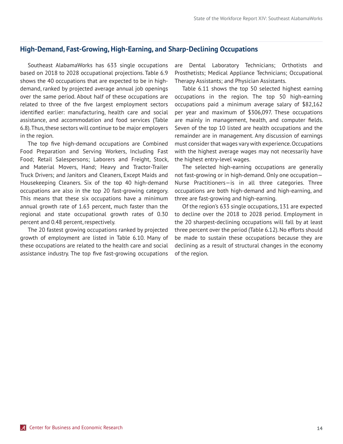### **High-Demand, Fast-Growing, High-Earning, and Sharp-Declining Occupations**

Southeast AlabamaWorks has 633 single occupations based on 2018 to 2028 occupational projections. Table 6.9 shows the 40 occupations that are expected to be in highdemand, ranked by projected average annual job openings over the same period. About half of these occupations are related to three of the five largest employment sectors identified earlier: manufacturing, health care and social assistance, and accommodation and food services (Table 6.8). Thus, these sectors will continue to be major employers in the region.

The top five high-demand occupations are Combined Food Preparation and Serving Workers, Including Fast Food; Retail Salespersons; Laborers and Freight, Stock, and Material Movers, Hand; Heavy and Tractor-Trailer Truck Drivers; and Janitors and Cleaners, Except Maids and Housekeeping Cleaners. Six of the top 40 high-demand occupations are also in the top 20 fast-growing category. This means that these six occupations have a minimum annual growth rate of 1.63 percent, much faster than the regional and state occupational growth rates of 0.30 percent and 0.48 percent, respectively.

The 20 fastest growing occupations ranked by projected growth of employment are listed in Table 6.10. Many of these occupations are related to the health care and social assistance industry. The top five fast-growing occupations are Dental Laboratory Technicians; Orthotists and Prosthetists; Medical Appliance Technicians; Occupational Therapy Assistants; and Physician Assistants.

Table 6.11 shows the top 50 selected highest earning occupations in the region. The top 50 high-earning occupations paid a minimum average salary of \$82,162 per year and maximum of \$306,097. These occupations are mainly in management, health, and computer fields. Seven of the top 10 listed are health occupations and the remainder are in management. Any discussion of earnings must consider that wages vary with experience. Occupations with the highest average wages may not necessarily have the highest entry-level wages.

The selected high-earning occupations are generally not fast-growing or in high-demand. Only one occupation— Nurse Practitioners—is in all three categories. Three occupations are both high-demand and high-earning, and three are fast-growing and high-earning.

Of the region's 633 single occupations, 131 are expected to decline over the 2018 to 2028 period. Employment in the 20 sharpest-declining occupations will fall by at least three percent over the period (Table 6.12). No efforts should be made to sustain these occupations because they are declining as a result of structural changes in the economy of the region.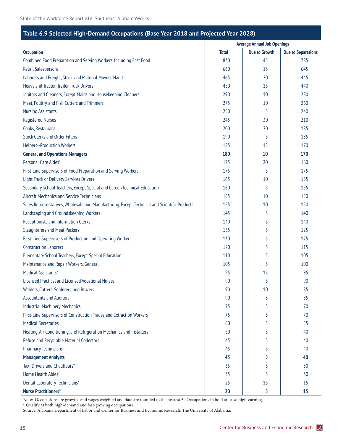### Table 6.9 Selected High-Demand Occupations (Base Year 2018 and Projected Year 2028)

|                                                                                              |              | <b>Average Annual Job Openings</b> |                           |
|----------------------------------------------------------------------------------------------|--------------|------------------------------------|---------------------------|
| <b>Occupation</b>                                                                            | <b>Total</b> | <b>Due to Growth</b>               | <b>Due to Separations</b> |
| Combined Food Preparation and Serving Workers, Including Fast Food                           | 830          | 45                                 | 785                       |
| <b>Retail Salespersons</b>                                                                   | 660          | 15                                 | 645                       |
| Laborers and Freight, Stock, and Material Movers, Hand                                       | 465          | 20                                 | 445                       |
| Heavy and Tractor-Trailer Truck Drivers                                                      | 450          | 15                                 | 440                       |
| Janitors and Cleaners, Except Maids and Housekeeping Cleaners                                | 290          | 10                                 | 280                       |
| Meat, Poultry, and Fish Cutters and Trimmers                                                 | 275          | 10                                 | 260                       |
| <b>Nursing Assistants</b>                                                                    | 250          | 5                                  | 240                       |
| <b>Registered Nurses</b>                                                                     | 245          | 30                                 | 210                       |
| Cooks, Restaurant                                                                            | 200          | 20                                 | 185                       |
| <b>Stock Clerks and Order Fillers</b>                                                        | 190          | 5                                  | 185                       |
| <b>Helpers--Production Workers</b>                                                           | 185          | 15                                 | 170                       |
| <b>General and Operations Managers</b>                                                       | 180          | 10                                 | 170                       |
| Personal Care Aides*                                                                         | 175          | 20                                 | 160                       |
| First-Line Supervisors of Food Preparation and Serving Workers                               | 175          | 5                                  | 175                       |
| <b>Light Truck or Delivery Services Drivers</b>                                              | 165          | 10                                 | 155                       |
| Secondary School Teachers, Except Special and Career/Technical Education                     | 160          | 5                                  | 155                       |
| Aircraft Mechanics and Service Technicians                                                   | 155          | 10                                 | 150                       |
| Sales Representatives, Wholesale and Manufacturing, Except Technical and Scientific Products | 155          | 10                                 | 150                       |
| Landscaping and Groundskeeping Workers                                                       | 145          | 5                                  | 140                       |
| Receptionists and Information Clerks                                                         | 140          | 5                                  | 140                       |
| <b>Slaughterers and Meat Packers</b>                                                         | 135          | 5                                  | 125                       |
| First-Line Supervisors of Production and Operating Workers                                   | 130          | 5                                  | 125                       |
| <b>Construction Laborers</b>                                                                 | 120          | 5                                  | 115                       |
| <b>Elementary School Teachers, Except Special Education</b>                                  | 110          | 5                                  | 105                       |
| Maintenance and Repair Workers, General                                                      | 105          | 5                                  | 100                       |
| Medical Assistants*                                                                          | 95           | 15                                 | 85                        |
| <b>Licensed Practical and Licensed Vocational Nurses</b>                                     | 90           | 5                                  | 90                        |
| Welders, Cutters, Solderers, and Brazers                                                     | 90           | 10                                 | 85                        |
| <b>Accountants and Auditors</b>                                                              | 90           | 5                                  | 85                        |
| <b>Industrial Machinery Mechanics</b>                                                        | 75           | 5                                  | 70                        |
| First-Line Supervisors of Construction Trades and Extraction Workers                         | 75           | 5                                  | 70                        |
| <b>Medical Secretaries</b>                                                                   | 60           | 5                                  | 55                        |
| Heating, Air Conditioning, and Refrigeration Mechanics and Installers                        | 50           | 5                                  | 40                        |
| Refuse and Recyclable Material Collectors                                                    | 45           | 5                                  | 40                        |
| <b>Pharmacy Technicians</b>                                                                  | 45           | 5.                                 | 40                        |
| <b>Management Analysts</b>                                                                   | 45           | 5                                  | 40                        |
| Taxi Drivers and Chauffeurs*                                                                 | 35           | 5                                  | 30                        |
| Home Health Aides*                                                                           | 35           | 5                                  | 30                        |
| Dental Laboratory Technicians*                                                               | 25           | 15                                 | 15                        |
| <b>Nurse Practitioners*</b>                                                                  | 20           | 5                                  | 15                        |

Note: Occupations are growth- and wages weighted and data are rounded to the nearest 5. Occupations in bold are also high-earning.

\* Qualify as both high-demand and fast-growing occupations.

Source: Alabama Department of Labor and Center for Business and Economic Research, The University of Alabama.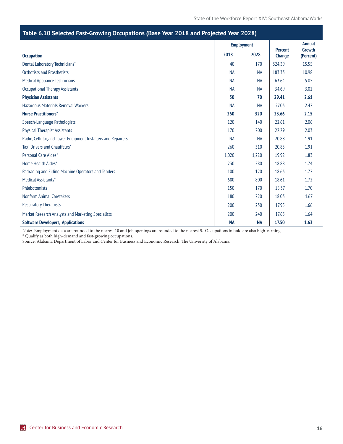| Table 6.10 Selected Fast-Growing Occupations (Base Year 2018 and Projected Year 2028) |                   |           |                                 |                            |  |  |
|---------------------------------------------------------------------------------------|-------------------|-----------|---------------------------------|----------------------------|--|--|
|                                                                                       | <b>Employment</b> |           |                                 | <b>Annual</b>              |  |  |
| <b>Occupation</b>                                                                     | 2018              | 2028      | <b>Percent</b><br><b>Change</b> | <b>Growth</b><br>(Percent) |  |  |
| Dental Laboratory Technicians*                                                        | 40                | 170       | 324.39                          | 15.55                      |  |  |
| <b>Orthotists and Prosthetists</b>                                                    | <b>NA</b>         | <b>NA</b> | 183.33                          | 10.98                      |  |  |
| <b>Medical Appliance Technicians</b>                                                  | <b>NA</b>         | <b>NA</b> | 63.64                           | 5.05                       |  |  |
| <b>Occupational Therapy Assistants</b>                                                | <b>NA</b>         | <b>NA</b> | 34.69                           | 3.02                       |  |  |
| <b>Physician Assistants</b>                                                           | 50                | 70        | 29.41                           | 2.61                       |  |  |
| <b>Hazardous Materials Removal Workers</b>                                            | <b>NA</b>         | <b>NA</b> | 27.03                           | 2.42                       |  |  |
| <b>Nurse Practitioners*</b>                                                           | 260               | 320       | 23.66                           | 2.15                       |  |  |
| Speech-Language Pathologists                                                          | 120               | 140       | 22.61                           | 2.06                       |  |  |
| <b>Physical Therapist Assistants</b>                                                  | 170               | 200       | 22.29                           | 2.03                       |  |  |
| Radio, Cellular, and Tower Equipment Installers and Repairers                         | <b>NA</b>         | <b>NA</b> | 20.88                           | 1.91                       |  |  |
| Taxi Drivers and Chauffeurs*                                                          | 260               | 310       | 20.85                           | 1.91                       |  |  |
| Personal Care Aides*                                                                  | 1,020             | 1,220     | 19.92                           | 1.83                       |  |  |
| Home Health Aides*                                                                    | 230               | 280       | 18.88                           | 1.74                       |  |  |
| Packaging and Filling Machine Operators and Tenders                                   | 100               | 120       | 18.63                           | 1.72                       |  |  |
| <b>Medical Assistants*</b>                                                            | 680               | 800       | 18.61                           | 1.72                       |  |  |
| Phlebotomists                                                                         | 150               | 170       | 18.37                           | 1.70                       |  |  |
| Nonfarm Animal Caretakers                                                             | 180               | 220       | 18.03                           | 1.67                       |  |  |
| <b>Respiratory Therapists</b>                                                         | 200               | 230       | 17.95                           | 1.66                       |  |  |
| Market Research Analysts and Marketing Specialists                                    | 200               | 240       | 17.65                           | 1.64                       |  |  |
| <b>Software Developers, Applications</b>                                              | <b>NA</b>         | <b>NA</b> | 17.50                           | 1.63                       |  |  |

Note: Employment data are rounded to the nearest 10 and job openings are rounded to the nearest 5. Occupations in bold are also high-earning. \* Qualify as both high-demand and fast-growing occupations.

Source: Alabama Department of Labor and Center for Business and Economic Research, The University of Alabama.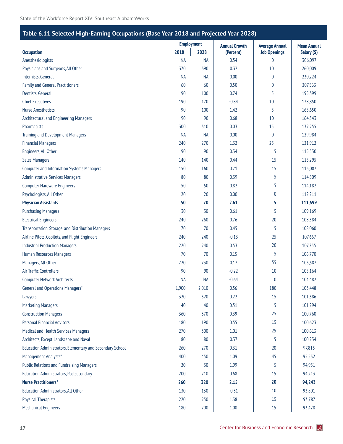# Table 6.11 Selected High-Earning Occupations (Base Year 2018 and Projected Year 2028)

|                                                                  | <b>Employment</b> |           | <b>Annual Growth</b> | <b>Average Annual</b> | <b>Mean Annual</b> |  |
|------------------------------------------------------------------|-------------------|-----------|----------------------|-----------------------|--------------------|--|
| <b>Occupation</b>                                                | 2018              | 2028      | (Percent)            | <b>Job Openings</b>   | Salary (\$)        |  |
| Anesthesiologists                                                | <b>NA</b>         | <b>NA</b> | 0.54                 | $\mathbf{0}$          | 306,097            |  |
| Physicians and Surgeons, All Other                               | 370               | 390       | 0.37                 | 10                    | 260,009            |  |
| Internists, General                                              | <b>NA</b>         | <b>NA</b> | 0.00                 | $\bf{0}$              | 230,224            |  |
| <b>Family and General Practitioners</b>                          | 60                | 60        | 0.50                 | $\boldsymbol{0}$      | 207,563            |  |
| Dentists, General                                                | 90                | 100       | 0.74                 | 5                     | 195,399            |  |
| <b>Chief Executives</b>                                          | 190               | 170       | $-0.84$              | 10                    | 178,850            |  |
| <b>Nurse Anesthetists</b>                                        | 90                | 100       | 1.42                 | 5                     | 165,650            |  |
| Architectural and Engineering Managers                           | 90                | 90        | 0.68                 | 10                    | 164,543            |  |
| Pharmacists                                                      | 300               | 310       | 0.03                 | 15                    | 132,255            |  |
| <b>Training and Development Managers</b>                         | <b>NA</b>         | <b>NA</b> | 0.00                 | $\boldsymbol{0}$      | 129,984            |  |
| <b>Financial Managers</b>                                        | 240               | 270       | 1.32                 | 25                    | 121,912            |  |
| Engineers, All Other                                             | 90                | 90        | 0.34                 | 5                     | 115,530            |  |
| <b>Sales Managers</b>                                            | 140               | 140       | 0.44                 | 15                    | 115,295            |  |
| <b>Computer and Information Systems Managers</b>                 | 150               | 160       | 0.71                 | 15                    | 115,087            |  |
| <b>Administrative Services Managers</b>                          | 80                | 80        | 0.39                 | 5                     | 114,809            |  |
| <b>Computer Hardware Engineers</b>                               | 50                | 50        | 0.82                 | 5                     | 114,182            |  |
| Psychologists, All Other                                         | 20                | 20        | 0.00                 | 0                     | 112,211            |  |
| <b>Physician Assistants</b>                                      | 50                | 70        | 2.61                 | 5                     | 111,699            |  |
| <b>Purchasing Managers</b>                                       | 30                | 30        | 0.61                 | 5                     | 109,169            |  |
| <b>Electrical Engineers</b>                                      | 240               | 260       | 0.76                 | 20                    | 108,584            |  |
| Transportation, Storage, and Distribution Managers               | 70                | 70        | 0.45                 | 5                     | 108,060            |  |
| Airline Pilots, Copilots, and Flight Engineers                   | 240               | 240       | $-0.13$              | 25                    | 107,667            |  |
| <b>Industrial Production Managers</b>                            | 220               | 240       | 0.53                 | 20                    | 107,255            |  |
| Human Resources Managers                                         | 70                | 70        | 0.15                 | 5                     | 106,770            |  |
| Managers, All Other                                              | 720               | 730       | 0.17                 | 55                    | 105,587            |  |
| Air Traffic Controllers                                          | 90                | 90        | $-0.22$              | $10$                  | 105,164            |  |
| <b>Computer Network Architects</b>                               | <b>NA</b>         | <b>NA</b> | $-0.64$              | $\pmb{0}$             | 104,482            |  |
| General and Operations Managers*                                 | 1,900             | 2,010     | 0.56                 | 180                   | 103,448            |  |
| Lawyers                                                          | 320               | 320       | 0.22                 | 15                    | 101,386            |  |
| <b>Marketing Managers</b>                                        | 40                | 40        | 0.51                 | 5                     | 101,294            |  |
| <b>Construction Managers</b>                                     | 360               | 370       | 0.39                 | 25                    | 100,760            |  |
| <b>Personal Financial Advisors</b>                               | 180               | 190       | 0.55                 | 15                    | 100,623            |  |
| Medical and Health Services Managers                             | 270               | 300       | 1.01                 | 25                    | 100,613            |  |
| Architects, Except Landscape and Naval                           | 80                | 80        | 0.37                 | 5                     | 100,234            |  |
| <b>Education Administrators, Elementary and Secondary School</b> | 260               | 270       | 0.31                 | 20                    | 97,815             |  |
| Management Analysts*                                             | 400               | 450       | 1.09                 | 45                    | 95,532             |  |
| <b>Public Relations and Fundraising Managers</b>                 | 20                | 30        | 1.99                 | 5                     | 94,951             |  |
| <b>Education Administrators, Postsecondary</b>                   | 200               | 210       | 0.68                 | 15                    | 94,243             |  |
| <b>Nurse Practitioners*</b>                                      | 260               | 320       | 2.15                 | 20                    | 94,243             |  |
| <b>Education Administrators, All Other</b>                       | 130               | 130       | $-0.31$              | 10                    | 93,801             |  |
| <b>Physical Therapists</b>                                       | 220               | 250       | 1.38                 | 15                    | 93,787             |  |
| <b>Mechanical Engineers</b>                                      | 180               | 200       | 1.00                 | 15                    | 93,428             |  |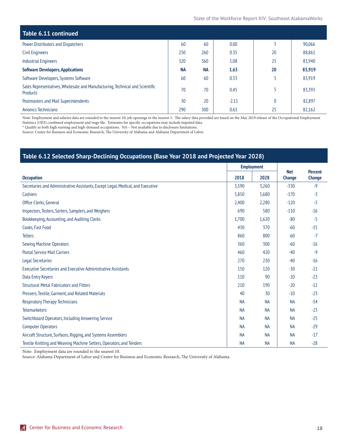| Table 6.11 continued                                                                     |           |           |         |          |        |
|------------------------------------------------------------------------------------------|-----------|-----------|---------|----------|--------|
| Power Distributors and Dispatchers                                                       | 60        | 60        | 0.00    |          | 90,066 |
| <b>Civil Engineers</b>                                                                   | 250       | 260       | 0.35    | 20       | 88,861 |
| <b>Industrial Engineers</b>                                                              | 320       | 360       | 1.08    | 25       | 83,940 |
| <b>Software Developers, Applications</b>                                                 | <b>NA</b> | <b>NA</b> | 1.63    | 20       | 83,919 |
| Software Developers, Systems Software                                                    | 60        | 60        | 0.33    |          | 83,919 |
| Sales Representatives, Wholesale and Manufacturing, Technical and Scientific<br>Products | 70        | 70        | 0.45    |          | 83,393 |
| Postmasters and Mail Superintendents                                                     | 30        | 20        | $-2.11$ | $\theta$ | 82,897 |
| <b>Avionics Technicians</b>                                                              | 290       | 300       | 0.61    | 25       | 82,162 |

Note: Employment and salaries data are rounded to the nearest 10; job openings to the nearest 5. The salary data provided are based on the May 2019 release of the Occupational Employment Statistics (OES) combined employment and wage file. Estimates for specific occupations may include imputed data.

\* Qualify as both high-earning and high-demand occupations. NA – Not available due to disclosure limitations.

Source: Center for Business and Economic Research, The University of Alabama and Alabama Department of Labor.

### Table 6.12 Selected Sharp-Declining Occupations (Base Year 2018 and Projected Year 2028)

|                                                                                 |           | <b>Employment</b> |                             |                                 |
|---------------------------------------------------------------------------------|-----------|-------------------|-----------------------------|---------------------------------|
| <b>Occupation</b>                                                               | 2018      | 2028              | <b>Net</b><br><b>Change</b> | <b>Percent</b><br><b>Change</b> |
| Secretaries and Administrative Assistants, Except Legal, Medical, and Executive | 3,590     | 3,260             | $-330$                      | $-9$                            |
| <b>Cashiers</b>                                                                 | 5,850     | 5,680             | $-170$                      | $-3$                            |
| Office Clerks, General                                                          | 2,400     | 2,280             | $-120$                      | $-5$                            |
| Inspectors, Testers, Sorters, Samplers, and Weighers                            | 690       | 580               | $-110$                      | $-16$                           |
| Bookkeeping, Accounting, and Auditing Clerks                                    | 1,700     | 1,620             | $-80$                       | $-5$                            |
| Cooks, Fast Food                                                                | 430       | 370               | $-60$                       | $-15$                           |
| <b>Tellers</b>                                                                  | 860       | 800               | $-60$                       | $-7$                            |
| Sewing Machine Operators                                                        | 360       | 300               | $-60$                       | $-16$                           |
| <b>Postal Service Mail Carriers</b>                                             | 460       | 420               | $-40$                       | $-9$                            |
| <b>Legal Secretaries</b>                                                        | 270       | 230               | $-40$                       | $-16$                           |
| <b>Executive Secretaries and Executive Administrative Assistants</b>            | 150       | 120               | $-30$                       | $-21$                           |
| Data Entry Keyers                                                               | 110       | 90                | $-20$                       | $-23$                           |
| <b>Structural Metal Fabricators and Fitters</b>                                 | 210       | 190               | $-20$                       | $-12$                           |
| Pressers, Textile, Garment, and Related Materials                               | 40        | 30                | $-10$                       | $-23$                           |
| <b>Respiratory Therapy Technicians</b>                                          | <b>NA</b> | <b>NA</b>         | <b>NA</b>                   | $-54$                           |
| <b>Telemarketers</b>                                                            | <b>NA</b> | <b>NA</b>         | <b>NA</b>                   | $-23$                           |
| Switchboard Operators, Including Answering Service                              | <b>NA</b> | <b>NA</b>         | <b>NA</b>                   | $-25$                           |
| <b>Computer Operators</b>                                                       | <b>NA</b> | <b>NA</b>         | <b>NA</b>                   | $-29$                           |
| Aircraft Structure, Surfaces, Rigging, and Systems Assemblers                   | <b>NA</b> | <b>NA</b>         | <b>NA</b>                   | $-17$                           |
| Textile Knitting and Weaving Machine Setters, Operators, and Tenders            | <b>NA</b> | <b>NA</b>         | <b>NA</b>                   | $-28$                           |

Note: Employment data are rounded to the nearest 10.

Source: Alabama Department of Labor and Center for Business and Economic Research, The University of Alabama.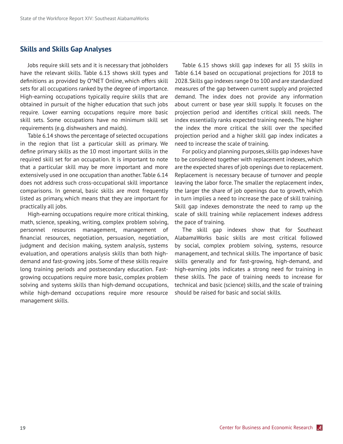### **Skills and Skills Gap Analyses**

Jobs require skill sets and it is necessary that jobholders have the relevant skills. Table 6.13 shows skill types and definitions as provided by O\*NET Online, which offers skill sets for all occupations ranked by the degree of importance. High-earning occupations typically require skills that are obtained in pursuit of the higher education that such jobs require. Lower earning occupations require more basic skill sets. Some occupations have no minimum skill set requirements (e.g. dishwashers and maids).

Table 6.14 shows the percentage of selected occupations in the region that list a particular skill as primary. We define primary skills as the 10 most important skills in the required skill set for an occupation. It is important to note that a particular skill may be more important and more extensively used in one occupation than another. Table 6.14 does not address such cross-occupational skill importance comparisons. In general, basic skills are most frequently listed as primary, which means that they are important for practically all jobs.

High-earning occupations require more critical thinking, math, science, speaking, writing, complex problem solving, personnel resources management, management of financial resources, negotiation, persuasion, negotiation, judgment and decision making, system analysis, systems evaluation, and operations analysis skills than both highdemand and fast-growing jobs. Some of these skills require long training periods and postsecondary education. Fastgrowing occupations require more basic, complex problem solving and systems skills than high-demand occupations, while high-demand occupations require more resource management skills.

Table 6.15 shows skill gap indexes for all 35 skills in Table 6.14 based on occupational projections for 2018 to 2028. Skills gap indexes range 0 to 100 and are standardized measures of the gap between current supply and projected demand. The index does not provide any information about current or base year skill supply. It focuses on the projection period and identifies critical skill needs. The index essentially ranks expected training needs. The higher the index the more critical the skill over the specified projection period and a higher skill gap index indicates a need to increase the scale of training.

For policy and planning purposes, skills gap indexes have to be considered together with replacement indexes, which are the expected shares of job openings due to replacement. Replacement is necessary because of turnover and people leaving the labor force. The smaller the replacement index, the larger the share of job openings due to growth, which in turn implies a need to increase the pace of skill training. Skill gap indexes demonstrate the need to ramp up the scale of skill training while replacement indexes address the pace of training.

The skill gap indexes show that for Southeast AlabamaWorks basic skills are most critical followed by social, complex problem solving, systems, resource management, and technical skills. The importance of basic skills generally and for fast-growing, high-demand, and high-earning jobs indicates a strong need for training in these skills. The pace of training needs to increase for technical and basic (science) skills, and the scale of training should be raised for basic and social skills.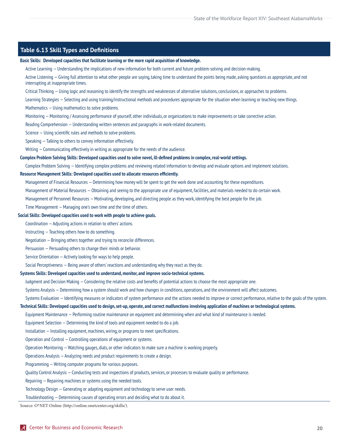#### **Table 6.13 Skill Types and Definitions**

Basic Skills: Developed capacities that facilitate learning or the more rapid acquisition of knowledge.

Active Learning — Understanding the implications of new information for both current and future problem-solving and decision-making.

Active Listening — Giving full attention to what other people are saying, taking time to understand the points being made, asking questions as appropriate, and not interrupting at inappropriate times.

Critical Thinking — Using logic and reasoning to identify the strengths and weaknesses of alternative solutions, conclusions, or approaches to problems.

Learning Strategies — Selecting and using training/instructional methods and procedures appropriate for the situation when learning or teaching new things.

Mathematics — Using mathematics to solve problems.

Monitoring — Monitoring / Assessing performance of yourself, other individuals, or organizations to make improvements or take corrective action.

Reading Comprehension — Understanding written sentences and paragraphs in work-related documents.

Science – Using scientific rules and methods to solve problems.

Speaking — Talking to others to convey information effectively.

Writing – Communicating effectively in writing as appropriate for the needs of the audience.

#### Complex Problem Solving Skills: Developed capacities used to solve novel, ill-defined problems in complex, real-world settings.

Complex Problem Solving — Identifying complex problems and reviewing related information to develop and evaluate options and implement solutions.

#### Resource Management Skills: Developed capacities used to allocate resources efficiently.

Management of Financial Resources — Determining how money will be spent to get the work done and accounting for these expenditures.

Management of Material Resources — Obtaining and seeing to the appropriate use of equipment, facilities, and materials needed to do certain work.

Management of Personnel Resources — Motivating, developing, and directing people as they work, identifying the best people for the job.

Time Management — Managing one's own time and the time of others.

#### Social Skills: Developed capacities used to work with people to achieve goals.

Coordination — Adjusting actions in relation to others' actions.

Instructing — Teaching others how to do something.

Negotiation — Bringing others together and trying to reconcile differences.

Persuasion — Persuading others to change their minds or behavior.

Service Orientation — Actively looking for ways to help people.

Social Perceptiveness — Being aware of others' reactions and understanding why they react as they do.

#### Systems Skills: Developed capacities used to understand, monitor, and improve socio-technical systems.

Judgment and Decision Making - Considering the relative costs and benefits of potential actions to choose the most appropriate one.

Systems Analysis — Determining how a system should work and how changes in conditions, operations, and the environment will affect outcomes.

Systems Evaluation — Identifying measures or indicators of system performance and the actions needed to improve or correct performance, relative to the goals of the system.

#### Technical Skills: Developed capacities used to design, set-up, operate, and correct malfunctions involving application of machines or technological systems.

Equipment Maintenance — Performing routine maintenance on equipment and determining when and what kind of maintenance is needed.

Equipment Selection — Determining the kind of tools and equipment needed to do a job.

Installation  $-$  Installing equipment, machines, wiring, or programs to meet specifications.

Operation and Control — Controlling operations of equipment or systems.

Operation Monitoring — Watching gauges, dials, or other indicators to make sure a machine is working properly.

Operations Analysis — Analyzing needs and product requirements to create a design.

Programming — Writing computer programs for various purposes.

Quality Control Analysis — Conducting tests and inspections of products, services, or processes to evaluate quality or performance.

Repairing — Repairing machines or systems using the needed tools.

Technology Design — Generating or adapting equipment and technology to serve user needs.

Troubleshooting — Determining causes of operating errors and deciding what to do about it.

Source: O\*NET Online (http://online.onetcenter.org/skills/).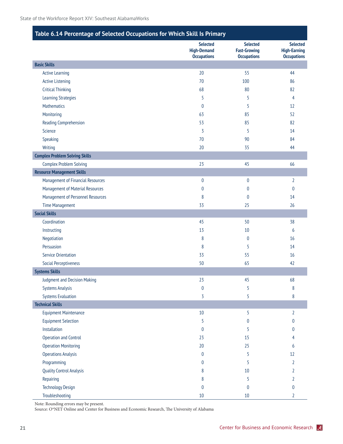# **Table 6.14 Percentage of Selected Occupations for Which Skill Is Primary**

|                                          | <b>Selected</b><br><b>High-Demand</b><br><b>Occupations</b> | <b>Selected</b><br><b>Fast-Growing</b><br><b>Occupations</b> | <b>Selected</b><br><b>High-Earning</b><br><b>Occupations</b> |
|------------------------------------------|-------------------------------------------------------------|--------------------------------------------------------------|--------------------------------------------------------------|
| <b>Basic Skills</b>                      |                                                             |                                                              |                                                              |
| <b>Active Learning</b>                   | 20                                                          | 55                                                           | 44                                                           |
| <b>Active Listening</b>                  | 70                                                          | 100                                                          | 86                                                           |
| <b>Critical Thinking</b>                 | 68                                                          | 80                                                           | 82                                                           |
| <b>Learning Strategies</b>               | 5                                                           | 5                                                            | 4                                                            |
| <b>Mathematics</b>                       | $\bf{0}$                                                    | 5                                                            | 12                                                           |
| Monitoring                               | 63                                                          | 85                                                           | 52                                                           |
| <b>Reading Comprehension</b>             | 53                                                          | 85                                                           | 82                                                           |
| Science                                  | $\overline{3}$                                              | 5                                                            | 14                                                           |
| Speaking                                 | 70                                                          | 90                                                           | 84                                                           |
| Writing                                  | 20                                                          | 35                                                           | 44                                                           |
| <b>Complex Problem Solving Skills</b>    |                                                             |                                                              |                                                              |
| <b>Complex Problem Solving</b>           | 23                                                          | 45                                                           | 66                                                           |
| <b>Resource Management Skills</b>        |                                                             |                                                              |                                                              |
| <b>Management of Financial Resources</b> | $\pmb{0}$                                                   | $\bf{0}$                                                     | $\overline{2}$                                               |
| <b>Management of Material Resources</b>  | $\bf{0}$                                                    | $\boldsymbol{0}$                                             | $\theta$                                                     |
| Management of Personnel Resources        | 8                                                           | $\mathbf{0}$                                                 | 14                                                           |
| <b>Time Management</b>                   | 33                                                          | 25                                                           | 26                                                           |
| <b>Social Skills</b>                     |                                                             |                                                              |                                                              |
| Coordination                             | 45                                                          | 50                                                           | 38                                                           |
| Instructing                              | 13                                                          | 10                                                           | 6                                                            |
| Negotiation                              | 8                                                           | $\boldsymbol{0}$                                             | 16                                                           |
| Persuasion                               | 8                                                           | 5                                                            | 14                                                           |
| <b>Service Orientation</b>               | 33                                                          | 55                                                           | 16                                                           |
| <b>Social Perceptiveness</b>             | 50                                                          | 65                                                           | 42                                                           |
| <b>Systems Skills</b>                    |                                                             |                                                              |                                                              |
| <b>Judgment and Decision Making</b>      | 23                                                          | 45                                                           | 68                                                           |
| <b>Systems Analysis</b>                  | $\bf{0}$                                                    | 5                                                            | 8                                                            |
| <b>Systems Evaluation</b>                | 3                                                           | 5                                                            | 8                                                            |
| <b>Technical Skills</b>                  |                                                             |                                                              |                                                              |
| <b>Equipment Maintenance</b>             | $10\,$                                                      | 5                                                            | $\overline{2}$                                               |
| <b>Equipment Selection</b>               | 5                                                           | 0                                                            | $\mathbf{0}$                                                 |
| Installation                             | $\boldsymbol{0}$                                            | 5                                                            | $\bf{0}$                                                     |
| <b>Operation and Control</b>             | 23                                                          | 15                                                           | 4                                                            |
| <b>Operation Monitoring</b>              | 20                                                          | 25                                                           | 6                                                            |
| <b>Operations Analysis</b>               | $\boldsymbol{0}$                                            | 5                                                            | 12                                                           |
| Programming                              | 0                                                           | 5                                                            | 2                                                            |
| <b>Quality Control Analysis</b>          | 8                                                           | 10                                                           | 2                                                            |
| Repairing                                | 8                                                           | 5                                                            | $\overline{2}$                                               |
| <b>Technology Design</b>                 | $\bf{0}$                                                    | $\mathbf{0}$                                                 | $\bf{0}$                                                     |
| Troubleshooting                          | $10\,$                                                      | 10                                                           | $\mathfrak{I}$                                               |

Note: Rounding errors may be present.

Source: O\*NET Online and Center for Business and Economic Research, The University of Alabama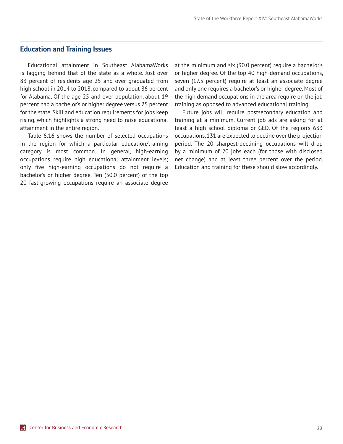### **Education and Training Issues**

Educational attainment in Southeast AlabamaWorks is lagging behind that of the state as a whole. Just over 83 percent of residents age 25 and over graduated from high school in 2014 to 2018, compared to about 86 percent for Alabama. Of the age 25 and over population, about 19 percent had a bachelor's or higher degree versus 25 percent for the state. Skill and education requirements for jobs keep rising, which highlights a strong need to raise educational attainment in the entire region.

Table 6.16 shows the number of selected occupations in the region for which a particular education/training category is most common. In general, high-earning occupations require high educational attainment levels; only five high-earning occupations do not require a bachelor's or higher degree. Ten (50.0 percent) of the top 20 fast-growing occupations require an associate degree

at the minimum and six (30.0 percent) require a bachelor's or higher degree. Of the top 40 high-demand occupations, seven (17.5 percent) require at least an associate degree and only one requires a bachelor's or higher degree. Most of the high demand occupations in the area require on the job training as opposed to advanced educational training.

Future jobs will require postsecondary education and training at a minimum. Current job ads are asking for at least a high school diploma or GED. Of the region's 633 occupations, 131 are expected to decline over the projection period. The 20 sharpest-declining occupations will drop by a minimum of 20 jobs each (for those with disclosed net change) and at least three percent over the period. Education and training for these should slow accordingly.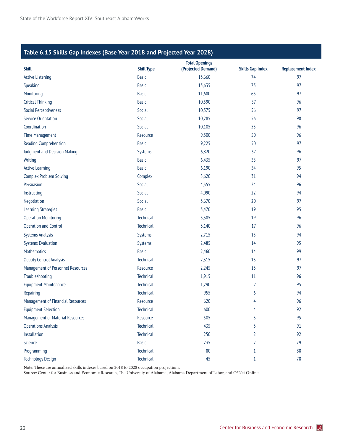## Table 6.15 Skills Gap Indexes (Base Year 2018 and Projected Year 2028)

|                                          |                   | <b>Total Openings</b> |                         |                          |
|------------------------------------------|-------------------|-----------------------|-------------------------|--------------------------|
| <b>Skill</b>                             | <b>Skill Type</b> | (Projected Demand)    | <b>Skills Gap Index</b> | <b>Replacement Index</b> |
| <b>Active Listening</b>                  | <b>Basic</b>      | 13,660                | 74                      | 97                       |
| Speaking                                 | <b>Basic</b>      | 13,635                | 73                      | 97                       |
| Monitoring                               | <b>Basic</b>      | 11,680                | 63                      | 97                       |
| <b>Critical Thinking</b>                 | <b>Basic</b>      | 10,590                | 57                      | 96                       |
| <b>Social Perceptiveness</b>             | Social            | 10,375                | 56                      | 97                       |
| <b>Service Orientation</b>               | Social            | 10,285                | 56                      | 98                       |
| Coordination                             | Social            | 10,105                | 55                      | 96                       |
| <b>Time Management</b>                   | Resource          | 9,300                 | 50                      | 96                       |
| <b>Reading Comprehension</b>             | <b>Basic</b>      | 9,225                 | 50                      | 97                       |
| Judgment and Decision Making             | Systems           | 6,820                 | 37                      | 96                       |
| Writing                                  | <b>Basic</b>      | 6,435                 | 35                      | 97                       |
| <b>Active Learning</b>                   | <b>Basic</b>      | 6,190                 | 34                      | 95                       |
| <b>Complex Problem Solving</b>           | Complex           | 5,620                 | 31                      | 94                       |
| Persuasion                               | Social            | 4,355                 | 24                      | 96                       |
| Instructing                              | Social            | 4,090                 | 22                      | 94                       |
| Negotiation                              | Social            | 3,670                 | 20                      | 97                       |
| <b>Learning Strategies</b>               | <b>Basic</b>      | 3,470                 | 19                      | 95                       |
| <b>Operation Monitoring</b>              | <b>Technical</b>  | 3,385                 | 19                      | 96                       |
| <b>Operation and Control</b>             | <b>Technical</b>  | 3,140                 | 17                      | 96                       |
| <b>Systems Analysis</b>                  | Systems           | 2,715                 | 15                      | 94                       |
| <b>Systems Evaluation</b>                | Systems           | 2,485                 | 14                      | 95                       |
| <b>Mathematics</b>                       | <b>Basic</b>      | 2,460                 | 14                      | 99                       |
| <b>Quality Control Analysis</b>          | <b>Technical</b>  | 2,315                 | 13                      | 97                       |
| Management of Personnel Resources        | Resource          | 2,245                 | 13                      | 97                       |
| Troubleshooting                          | <b>Technical</b>  | 1,915                 | 11                      | 96                       |
| <b>Equipment Maintenance</b>             | <b>Technical</b>  | 1,290                 | $\overline{7}$          | 95                       |
| Repairing                                | <b>Technical</b>  | 955                   | 6                       | 94                       |
| <b>Management of Financial Resources</b> | Resource          | 620                   | 4                       | 96                       |
| <b>Equipment Selection</b>               | <b>Technical</b>  | 600                   | 4                       | 92                       |
| <b>Management of Material Resources</b>  | Resource          | 505                   | 3                       | 95                       |
| <b>Operations Analysis</b>               | <b>Technical</b>  | 435                   | 3                       | 91                       |
| Installation                             | <b>Technical</b>  | 250                   | 2                       | 92                       |
| Science                                  | <b>Basic</b>      | 235                   | 2                       | 79                       |
| Programming                              | <b>Technical</b>  | 80                    | 1                       | 88                       |
| <b>Technology Design</b>                 | <b>Technical</b>  | 45                    | $\mathbf{1}$            | 78                       |

Note: These are annualized skills indexes based on 2018 to 2028 occupation projections.

Source: Center for Business and Economic Research, The University of Alabama, Alabama Department of Labor, and O\*Net Online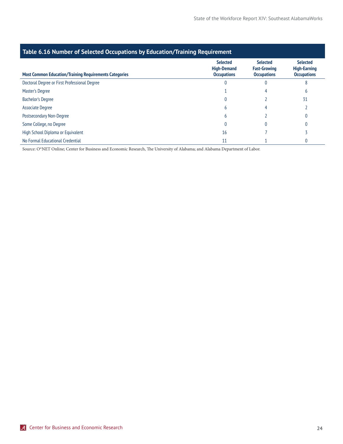| Table 6.16 Number of Selected Occupations by Education/Training Requirement |                                                             |                                                              |                                                              |  |  |  |
|-----------------------------------------------------------------------------|-------------------------------------------------------------|--------------------------------------------------------------|--------------------------------------------------------------|--|--|--|
| <b>Most Common Education/Training Requirements Categories</b>               | <b>Selected</b><br><b>High-Demand</b><br><b>Occupations</b> | <b>Selected</b><br><b>Fast-Growing</b><br><b>Occupations</b> | <b>Selected</b><br><b>High-Earning</b><br><b>Occupations</b> |  |  |  |
| Doctoral Degree or First Professional Degree                                |                                                             |                                                              |                                                              |  |  |  |
| Master's Degree                                                             |                                                             |                                                              |                                                              |  |  |  |
| <b>Bachelor's Degree</b>                                                    |                                                             |                                                              | 31                                                           |  |  |  |
| Associate Degree                                                            |                                                             |                                                              |                                                              |  |  |  |
| Postsecondary Non-Degree                                                    |                                                             |                                                              |                                                              |  |  |  |
| Some College, no Degree                                                     |                                                             |                                                              |                                                              |  |  |  |
| High School Diploma or Equivalent                                           | 16                                                          |                                                              |                                                              |  |  |  |
| No Formal Educational Credential                                            |                                                             |                                                              |                                                              |  |  |  |

Source: O\*NET Online; Center for Business and Economic Research, The University of Alabama; and Alabama Department of Labor.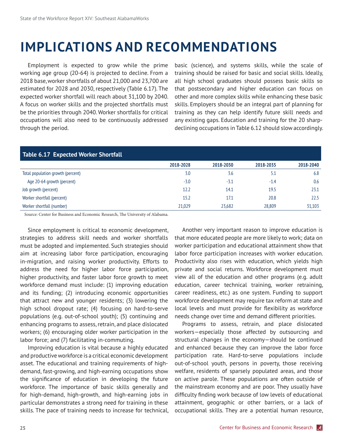# **IMPLICATIONS AND RECOMMENDATIONS**

Employment is expected to grow while the prime working age group (20-64) is projected to decline. From a 2018 base, worker shortfalls of about 21,000 and 23,700 are estimated for 2028 and 2030, respectively (Table 6.17). The expected worker shortfall will reach about 31,100 by 2040. A focus on worker skills and the projected shortfalls must be the priorities through 2040. Worker shortfalls for critical occupations will also need to be continuously addressed through the period.

basic (science), and systems skills, while the scale of training should be raised for basic and social skills. Ideally, all high school graduates should possess basic skills so that postsecondary and higher education can focus on other and more complex skills while enhancing these basic skills. Employers should be an integral part of planning for training as they can help identify future skill needs and any existing gaps. Education and training for the 20 sharpdeclining occupations in Table 6.12 should slow accordingly.

| <b>Table 6.17 Expected Worker Shortfall</b> |           |           |           |           |
|---------------------------------------------|-----------|-----------|-----------|-----------|
|                                             | 2018-2028 | 2018-2030 | 2018-2035 | 2018-2040 |
| Total population growth (percent)           | 3.0       | 3.6       | 5.1       | 6.8       |
| Age 20-64 growth (percent)                  | $-3.0$    | $-3.1$    | $-1.4$    | 0.6       |
| Job growth (percent)                        | 12.2      | 14.1      | 19.5      | 23.1      |
| Worker shortfall (percent)                  | 15.2      | 17.1      | 20.8      | 22.5      |
| Worker shortfall (number)                   | 21.029    | 23.682    | 28.809    | 31.103    |

Source: Center for Business and Economic Research, The University of Alabama.

Since employment is critical to economic development, strategies to address skill needs and worker shortfalls must be adopted and implemented. Such strategies should aim at increasing labor force participation, encouraging in-migration, and raising worker productivity. Efforts to address the need for higher labor force participation, higher productivity, and faster labor force growth to meet workforce demand must include: (1) improving education and its funding; (2) introducing economic opportunities that attract new and younger residents;  $(3)$  lowering the high school dropout rate; (4) focusing on hard-to-serve populations (e.g. out-of-school youth); (5) continuing and enhancing programs to assess, retrain, and place dislocated workers; (6) encouraging older worker participation in the labor force; and (7) facilitating in-commuting.

Improving education is vital because a highly educated and productive workforce is a critical economic development asset. The educational and training requirements of highdemand, fast-growing, and high-earning occupations show the significance of education in developing the future workforce. The importance of basic skills generally and for high-demand, high-growth, and high-earning jobs in particular demonstrates a strong need for training in these skills. The pace of training needs to increase for technical,

Another very important reason to improve education is that more educated people are more likely to work; data on worker participation and educational attainment show that labor force participation increases with worker education. Productivity also rises with education, which yields high private and social returns. Workforce development must view all of the education and other programs (e.g. adult education, career technical training, worker retraining, career readiness, etc.) as one system. Funding to support workforce development may require tax reform at state and local levels and must provide for flexibility as workforce needs change over time and demand different priorities.

Programs to assess, retrain, and place dislocated workers—especially those affected by outsourcing and structural changes in the economy—should be continued and enhanced because they can improve the labor force participation rate. Hard-to-serve populations include out-of-school youth, persons in poverty, those receiving welfare, residents of sparsely populated areas, and those on active parole. These populations are often outside of the mainstream economy and are poor. They usually have difficulty finding work because of low levels of educational attainment, geographic or other barriers, or a lack of occupational skills. They are a potential human resource,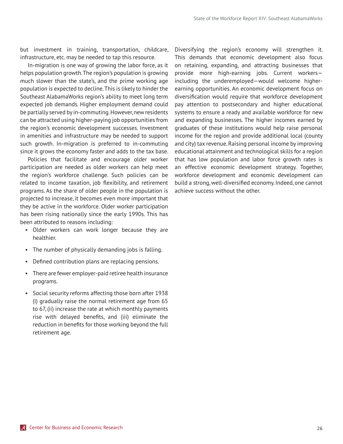but investment in training, transportation, childcare, infrastructure, etc. may be needed to tap this resource.

In-migration is one way of growing the labor force, as it helps population growth. The region's population is growing much slower than the state's, and the prime working age population is expected to decline. This is likely to hinder the Southeast AlabamaWorks region's ability to meet long term expected job demands. Higher employment demand could be partially served by in-commuting. However, new residents can be attracted using higher-paying job opportunities from the region's economic development successes. Investment in amenities and infrastructure may be needed to support such growth. In-migration is preferred to in-commuting since it grows the economy faster and adds to the tax base.

Policies that facilitate and encourage older worker participation are needed as older workers can help meet the region's workforce challenge. Such policies can be related to income taxation, job flexibility, and retirement programs. As the share of older people in the population is projected to increase, it becomes even more important that they be active in the workforce. Older worker participation has been rising nationally since the early 1990s. This has been attributed to reasons including:

- Older workers can work longer because they are healthier.
- The number of physically demanding jobs is falling.
- Defined contribution plans are replacing pensions.
- There are fewer employer-paid retiree health insurance programs.
- Social security reforms affecting those born after 1938 (i) gradually raise the normal retirement age from 65 to 67, (ii) increase the rate at which monthly payments rise with delayed benefits, and (iii) eliminate the reduction in benefits for those working beyond the full retirement age.

Diversifying the region's economy will strengthen it. This demands that economic development also focus on retaining, expanding, and attracting businesses that provide more high-earning jobs. Current workers including the underemployed—would welcome higherearning opportunities. An economic development focus on diversification would require that workforce development pay attention to postsecondary and higher educational systems to ensure a ready and available workforce for new and expanding businesses. The higher incomes earned by graduates of these institutions would help raise personal income for the region and provide additional local (county and city) tax revenue. Raising personal income by improving educational attainment and technological skills for a region that has low population and labor force growth rates is an effective economic development strategy. Together, workforce development and economic development can build a strong, well-diversified economy. Indeed, one cannot achieve success without the other.